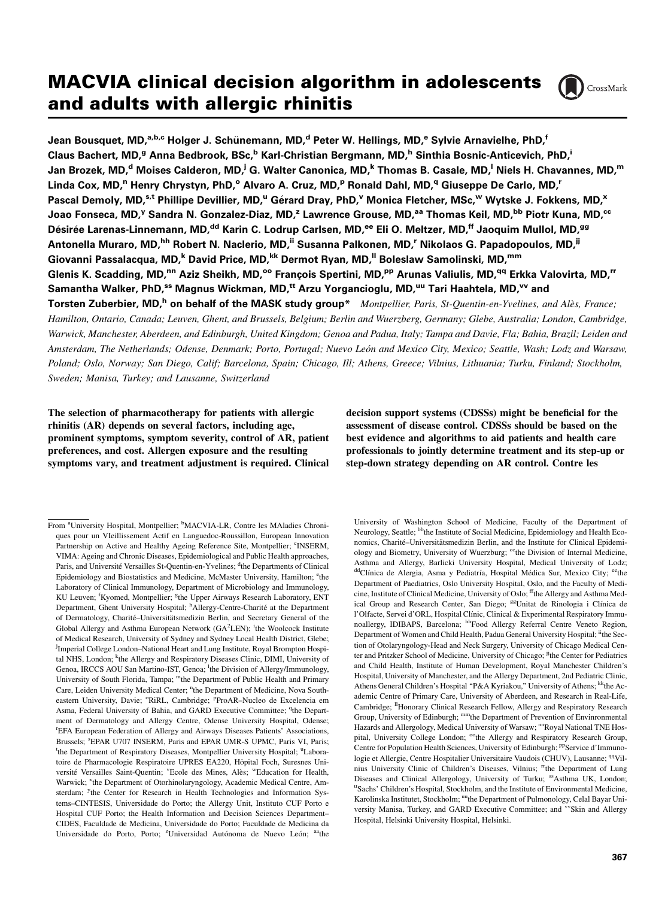# MACVIA clinical decision algorithm in adolescents and adults with allergic rhinitis



Jean Bousquet, MD,<sup>a,b,c</sup> Holger J. Schünemann, MD,<sup>d</sup> Peter W. Hellings, MD,<sup>e</sup> Sylvie Arnavielhe, PhD,<sup>f</sup> Claus Bachert, MD,<sup>g</sup> Anna Bedbrook, BSc,<sup>b</sup> Karl-Christian Bergmann, MD,<sup>h</sup> Sinthia Bosnic-Anticevich, PhD,<sup>i</sup> Jan Brozek, MD,<sup>d</sup> Moises Calderon, MD,<sup>j</sup> G. Walter Canonica, MD,<sup>k</sup> Thomas B. Casale, MD,<sup>l</sup> Niels H. Chavannes, MD,<sup>m</sup> Linda Cox, MD,<sup>n</sup> Henry Chrystyn, PhD,<sup>o</sup> Alvaro A. Cruz, MD,<sup>p</sup> Ronald Dahl, MD,<sup>q</sup> Giuseppe De Carlo, MD,<sup>r</sup> Pascal Demoly, MD,<sup>s,t</sup> Phillipe Devillier, MD,<sup>u</sup> Gérard Dray, PhD,<sup>v</sup> Monica Fletcher, MSc,<sup>w</sup> Wytske J. Fokkens, MD,<sup>x</sup> Joao Fonseca, MD,<sup>y</sup> Sandra N. Gonzalez-Diaz, MD,<sup>z</sup> Lawrence Grouse, MD,<sup>aa</sup> Thomas Keil, MD,<sup>bb</sup> Piotr Kuna, MD,<sup>cc</sup> Désirée Larenas-Linnemann, MD,<sup>dd</sup> Karin C. Lodrup Carlsen, MD,<sup>ee</sup> Eli O. Meltzer, MD,<sup>ff</sup> Jaoquim Mullol, MD,<sup>gg</sup> Antonella Muraro, MD,<sup>hh</sup> Robert N. Naclerio, MD,<sup>ii</sup> Susanna Palkonen, MD,<sup>r</sup> Nikolaos G. Papadopoulos, MD,<sup>jj</sup> Giovanni Passalacqua, MD,<sup>k</sup> David Price, MD,<sup>kk</sup> Dermot Ryan, MD,<sup>II</sup> Boleslaw Samolinski, MD,<sup>mm</sup> Glenis K. Scadding, MD,<sup>nn</sup> Aziz Sheikh, MD,<sup>oo</sup> François Spertini, MD,<sup>pp</sup> Arunas Valiulis, MD,<sup>qq</sup> Erkka Valovirta, MD,<sup>rr</sup> Samantha Walker, PhD,<sup>ss</sup> Magnus Wickman, MD,<sup>tt</sup> Arzu Yorgancioglu, MD,<sup>uu</sup> Tari Haahtela, MD,<sup>vv</sup> and Torsten Zuberbier, MD,<sup>h</sup> on behalf of the MASK study group\* Montpellier, Paris, St-Quentin-en-Yvelines, and Alès, France; Hamilton, Ontario, Canada; Leuven, Ghent, and Brussels, Belgium; Berlin and Wuerzberg, Germany; Glebe, Australia; London, Cambridge, Warwick, Manchester, Aberdeen, and Edinburgh, United Kingdom; Genoa and Padua, Italy; Tampa and Davie, Fla; Bahia, Brazil; Leiden and Amsterdam, The Netherlands; Odense, Denmark; Porto, Portugal; Nuevo Leon and Mexico City, Mexico; Seattle, Wash; Lodz and Warsaw, - Poland; Oslo, Norway; San Diego, Calif; Barcelona, Spain; Chicago, Ill; Athens, Greece; Vilnius, Lithuania; Turku, Finland; Stockholm,

Sweden; Manisa, Turkey; and Lausanne, Switzerland

The selection of pharmacotherapy for patients with allergic rhinitis (AR) depends on several factors, including age, prominent symptoms, symptom severity, control of AR, patient preferences, and cost. Allergen exposure and the resulting symptoms vary, and treatment adjustment is required. Clinical decision support systems (CDSSs) might be beneficial for the assessment of disease control. CDSSs should be based on the best evidence and algorithms to aid patients and health care professionals to jointly determine treatment and its step-up or step-down strategy depending on AR control. Contre les

University of Washington School of Medicine, Faculty of the Department of Neurology, Seattle; <sup>bb</sup>the Institute of Social Medicine, Epidemiology and Health Economics, Charité-Universitätsmedizin Berlin, and the Institute for Clinical Epidemiology and Biometry, University of Wuerzburg; <sup>cc</sup>the Division of Internal Medicine, Asthma and Allergy, Barlicki University Hospital, Medical University of Lodz; <sup>dd</sup>Clínica de Alergia, Asma y Pediatría, Hospital Médica Sur, Mexico City; <sup>ee</sup>the Department of Paediatrics, Oslo University Hospital, Oslo, and the Faculty of Medicine, Institute of Clinical Medicine, University of Oslo; <sup>ff</sup>the Allergy and Asthma Medical Group and Research Center, San Diego; <sup>gg</sup>Unitat de Rinologia i Clínica de l'Olfacte, Servei d'ORL, Hospital Clínic, Clinical & Experimental Respiratory Immunoallergy, IDIBAPS, Barcelona; hhFood Allergy Referral Centre Veneto Region, Department of Women and Child Health, Padua General University Hospital; <sup>ii</sup>the Section of Otolaryngology-Head and Neck Surgery, University of Chicago Medical Center and Pritzker School of Medicine, University of Chicago; <sup>jj</sup>the Center for Pediatrics and Child Health, Institute of Human Development, Royal Manchester Children's Hospital, University of Manchester, and the Allergy Department, 2nd Pediatric Clinic, Athens General Children's Hospital "P&A Kyriakou," University of Athens; <sup>kk</sup>the Academic Centre of Primary Care, University of Aberdeen, and Research in Real-Life, Cambridge; <sup>11</sup>Honorary Clinical Research Fellow, Allergy and Respiratory Research Group, University of Edinburgh; mmthe Department of Prevention of Envinronmental Hazards and Allergology, Medical University of Warsaw; <sup>nn</sup>Royal National TNE Hospital, University College London; <sup>oo</sup>the Allergy and Respiratory Research Group, Centre for Population Health Sciences, University of Edinburgh; PPService d'Immunologie et Allergie, Centre Hospitalier Universitaire Vaudois (CHUV), Lausanne; <sup>qq</sup>Vilnius University Clinic of Children's Diseases, Vilnius; "the Department of Lung Diseases and Clinical Allergology, University of Turku; <sup>ss</sup>Asthma UK, London; ttSachs' Children's Hospital, Stockholm, and the Institute of Environmental Medicine, Karolinska Institutet, Stockholm; uuthe Department of Pulmonology, Celal Bayar University Manisa, Turkey, and GARD Executive Committee; and <sup>vv</sup>Skin and Allergy Hospital, Helsinki University Hospital, Helsinki.

From <sup>a</sup>University Hospital, Montpellier; <sup>b</sup>MACVIA-LR, Contre les MAladies Chroniques pour un VIeillissement Actif en Languedoc-Roussillon, European Innovation Partnership on Active and Healthy Ageing Reference Site, Montpellier; <sup>c</sup>INSERM, VIMA: Ageing and Chronic Diseases, Epidemiological and Public Health approaches, Paris, and Université Versailles St-Quentin-en-Yvelines; <sup>d</sup>the Departments of Clinical Epidemiology and Biostatistics and Medicine, McMaster University, Hamilton; <sup>e</sup>the Laboratory of Clinical Immunology, Department of Microbiology and Immunology, KU Leuven; <sup>f</sup>Kyomed, Montpellier; <sup>g</sup>the Upper Airways Research Laboratory, ENT Department, Ghent University Hospital; <sup>h</sup>Allergy-Centre-Charité at the Department of Dermatology, Charité-Universitätsmedizin Berlin, and Secretary General of the Global Allergy and Asthma European Network (GA<sup>2</sup>LEN); <sup>i</sup>the Woolcock Institute of Medical Research, University of Sydney and Sydney Local Health District, Glebe; <sup>j</sup>Imperial College London-National Heart and Lung Institute, Royal Brompton Hospital NHS, London; <sup>k</sup>the Allergy and Respiratory Diseases Clinic, DIMI, University of Genoa, IRCCS AOU San Martino-IST, Genoa; <sup>1</sup>the Division of Allergy/Immunology, University of South Florida, Tampa; "the Department of Public Health and Primary Care, Leiden University Medical Center; <sup>n</sup>the Department of Medicine, Nova Southeastern University, Davie; <sup>o</sup>RiRL, Cambridge; <sup>p</sup>ProAR-Nucleo de Excelencia em Asma, Federal University of Bahia, and GARD Executive Committee; <sup>q</sup>the Department of Dermatology and Allergy Centre, Odense University Hospital, Odense; r EFA European Federation of Allergy and Airways Diseases Patients' Associations, Brussels; <sup>s</sup>EPAR U707 INSERM, Paris and EPAR UMR-S UPMC, Paris VI, Paris; <sup>t</sup>the Department of Respiratory Diseases, Montpellier University Hospital; <sup>u</sup>Laboratoire de Pharmacologie Respiratoire UPRES EA220, Hôpital Foch, Suresnes Université Versailles Saint-Quentin; <sup>v</sup>Ecole des Mines, Alès; <sup>w</sup>Education for Health, Warwick; <sup>x</sup>the Department of Otorhinolaryngology, Academic Medical Centre, Amsterdam; <sup>y</sup>the Center for Research in Health Technologies and Information Systems–CINTESIS, Universidade do Porto; the Allergy Unit, Instituto CUF Porto e Hospital CUF Porto; the Health Information and Decision Sciences Department– CIDES, Faculdade de Medicina, Universidade do Porto; Faculdade de Medicina da Universidade do Porto, Porto; <sup>z</sup>Universidad Autónoma de Nuevo León; aathe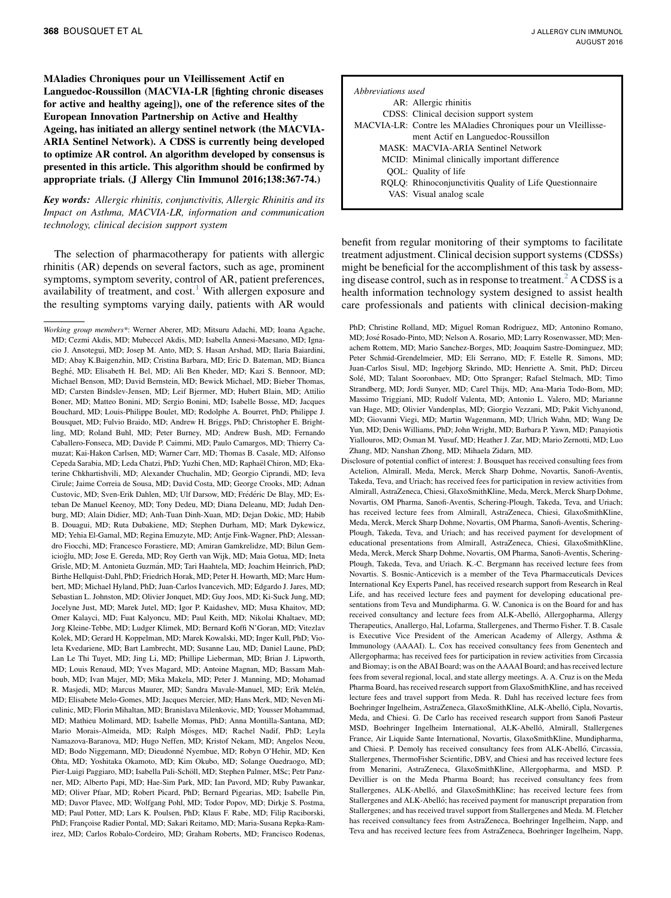MAladies Chroniques pour un VIeillissement Actif en Languedoc-Roussillon (MACVIA-LR [fighting chronic diseases for active and healthy ageing]), one of the reference sites of the European Innovation Partnership on Active and Healthy Ageing, has initiated an allergy sentinel network (the MACVIA-ARIA Sentinel Network). A CDSS is currently being developed to optimize AR control. An algorithm developed by consensus is presented in this article. This algorithm should be confirmed by appropriate trials. (J Allergy Clin Immunol 2016;138:367-74.)

Key words: Allergic rhinitis, conjunctivitis, Allergic Rhinitis and its Impact on Asthma, MACVIA-LR, information and communication technology, clinical decision support system

The selection of pharmacotherapy for patients with allergic rhinitis (AR) depends on several factors, such as age, prominent symptoms, symptom severity, control of AR, patient preferences, availability of treatment, and  $cost<sup>1</sup>$  $cost<sup>1</sup>$  $cost<sup>1</sup>$  With allergen exposure and the resulting symptoms varying daily, patients with AR would

| Abbreviations used |                                                               |
|--------------------|---------------------------------------------------------------|
|                    | AR: Allergic rhinitis                                         |
|                    | CDSS: Clinical decision support system                        |
|                    | MACVIA-LR: Contre les MAladies Chroniques pour un VIeillisse- |
|                    | ment Actif en Languedoc-Roussillon                            |
|                    | MASK: MACVIA-ARIA Sentinel Network                            |
|                    | MCID: Minimal clinically important difference                 |
|                    | OOL: Quality of life                                          |
|                    | RQLQ: Rhinoconjunctivitis Quality of Life Questionnaire       |
|                    | VAS: Visual analog scale                                      |
|                    |                                                               |

benefit from regular monitoring of their symptoms to facilitate treatment adjustment. Clinical decision support systems (CDSSs) might be beneficial for the accomplishment of this task by assess-ing disease control, such as in response to treatment.<sup>[2](#page-5-0)</sup> A CDSS is a health information technology system designed to assist health care professionals and patients with clinical decision-making

PhD; Christine Rolland, MD; Miguel Roman Rodriguez, MD; Antonino Romano, MD; José Rosado-Pinto, MD; Nelson A. Rosario, MD; Larry Rosenwasser, MD; Menachem Rottem, MD; Mario Sanchez-Borges, MD; Joaquim Sastre-Dominguez, MD; Peter Schmid-Grendelmeier, MD; Eli Serrano, MD; F. Estelle R. Simons, MD; Juan-Carlos Sisul, MD; Ingebjorg Skrindo, MD; Henriette A. Smit, PhD; Dirceu Solé, MD; Talant Sooronbaev, MD; Otto Spranger; Rafael Stelmach, MD; Timo Strandberg, MD; Jordi Sunyer, MD; Carel Thijs, MD; Ana-Maria Todo-Bom, MD; Massimo Triggiani, MD; Rudolf Valenta, MD; Antonio L. Valero, MD; Marianne van Hage, MD; Olivier Vandenplas, MD; Giorgio Vezzani, MD; Pakit Vichyanond, MD; Giovanni Viegi, MD; Martin Wagenmann, MD; Ulrich Wahn, MD; Wang De Yun, MD; Denis Williams, PhD; John Wright, MD; Barbara P. Yawn, MD; Panayiotis Yiallouros, MD; Osman M. Yusuf, MD; Heather J. Zar, MD; Mario Zernotti, MD; Luo Zhang, MD; Nanshan Zhong, MD; Mihaela Zidarn, MD.

Disclosure of potential conflict of interest: J. Bousquet has received consulting fees from Actelion, Almirall, Meda, Merck, Merck Sharp Dohme, Novartis, Sanofi-Aventis, Takeda, Teva, and Uriach; has received fees for participation in review activities from Almirall, AstraZeneca, Chiesi, GlaxoSmithKline, Meda, Merck, Merck Sharp Dohme, Novartis, OM Pharma, Sanofi-Aventis, Schering-Plough, Takeda, Teva, and Uriach; has received lecture fees from Almirall, AstraZeneca, Chiesi, GlaxoSmithKline, Meda, Merck, Merck Sharp Dohme, Novartis, OM Pharma, Sanofi-Aventis, Schering-Plough, Takeda, Teva, and Uriach; and has received payment for development of educational presentations from Almirall, AstraZeneca, Chiesi, GlaxoSmithKline, Meda, Merck, Merck Sharp Dohme, Novartis, OM Pharma, Sanofi-Aventis, Schering-Plough, Takeda, Teva, and Uriach. K.-C. Bergmann has received lecture fees from Novartis. S. Bosnic-Anticevich is a member of the Teva Pharmaceuticals Devices International Key Experts Panel, has received research support from Research in Real Life, and has received lecture fees and payment for developing educational presentations from Teva and Mundipharma. G. W. Canonica is on the Board for and has received consultancy and lecture fees from ALK-Abelló, Allergopharma, Allergy Therapeutics, Anallergo, Hal, Lofarma, Stallergenes, and Thermo Fisher. T. B. Casale is Executive Vice President of the American Academy of Allergy, Asthma & Immunology (AAAAI). L. Cox has received consultancy fees from Genentech and Allergopharma; has received fees for participation in review activities from Circassia and Biomay; is on the ABAI Board; was on the AAAAI Board; and has received lecture fees from several regional, local, and state allergy meetings. A. A. Cruz is on the Meda Pharma Board, has received research support from GlaxoSmithKline, and has received lecture fees and travel support from Meda. R. Dahl has received lecture fees from Boehringer Ingelheim, AstraZeneca, GlaxoSmithKline, ALK-Abelló, Cipla, Novartis, Meda, and Chiesi. G. De Carlo has received research support from Sanofi Pasteur MSD, Boehringer Ingelheim International, ALK-Abelló, Almirall, Stallergenes France, Air Liquide Sante International, Novartis, GlaxoSmithKline, Mundipharma, and Chiesi. P. Demoly has received consultancy fees from ALK-Abelló, Circassia, Stallergenes, ThermoFisher Scientific, DBV, and Chiesi and has received lecture fees from Menarini, AstraZeneca, GlaxoSmithKline, Allergopharma, and MSD. P. Devillier is on the Meda Pharma Board; has received consultancy fees from Stallergenes, ALK-Abelló, and GlaxoSmithKline; has received lecture fees from Stallergenes and ALK-Abelló; has received payment for manuscript preparation from Stallergenes; and has received travel support from Stallergenes and Meda. M. Fletcher has received consultancy fees from AstraZeneca, Boehringer Ingelheim, Napp, and Teva and has received lecture fees from AstraZeneca, Boehringer Ingelheim, Napp,

Working group members\*: Werner Aberer, MD; Mitsuru Adachi, MD; Ioana Agache, MD; Cezmi Akdis, MD; Mubeccel Akdis, MD; Isabella Annesi-Maesano, MD; Ignacio J. Ansotegui, MD; Josep M. Anto, MD; S. Hasan Arshad, MD; Ilaria Baiardini, MD; Abay K.Baigenzhin, MD; Cristina Barbara, MD; Eric D. Bateman, MD; Bianca Beghé, MD; Elisabeth H. Bel, MD; Ali Ben Kheder, MD; Kazi S. Bennoor, MD; Michael Benson, MD; David Bernstein, MD; Bewick Michael, MD; Bieber Thomas, MD; Carsten Bindslev-Jensen, MD; Leif Bjermer, MD; Hubert Blain, MD; Attilio Boner, MD; Matteo Bonini, MD; Sergio Bonini, MD; Isabelle Bosse, MD; Jacques Bouchard, MD; Louis-Philippe Boulet, MD; Rodolphe A. Bourret, PhD; Philippe J. Bousquet, MD; Fulvio Braido, MD; Andrew H. Briggs, PhD; Christopher E. Brightling, MD; Roland Buhl, MD; Peter Burney, MD; Andrew Bush, MD; Fernando Caballero-Fonseca, MD; Davide P. Caimmi, MD; Paulo Camargos, MD; Thierry Camuzat; Kai-Hakon Carlsen, MD; Warner Carr, MD; Thomas B. Casale, MD; Alfonso Cepeda Sarabia, MD; Leda Chatzi, PhD; Yuzhi Chen, MD; Raphaël Chiron, MD; Ekaterine Chkhartishvili, MD; Alexander Chuchalin, MD; Georgio Ciprandi, MD; Ieva Cirule; Jaime Correia de Sousa, MD; David Costa, MD; George Crooks, MD; Adnan Custovic, MD; Sven-Erik Dahlen, MD; Ulf Darsow, MD; Frédéric De Blay, MD; Esteban De Manuel Keenoy, MD; Tony Dedeu, MD; Diana Deleanu, MD; Judah Denburg, MD; Alain Didier, MD; Anh-Tuan Dinh-Xuan, MD; Dejan Dokic, MD; Habib B. Douagui, MD; Ruta Dubakiene, MD; Stephen Durham, MD; Mark Dykewicz, MD; Yehia El-Gamal, MD; Regina Emuzyte, MD; Antje Fink-Wagner, PhD; Alessandro Fiocchi, MD; Francesco Forastiere, MD; Amiran Gamkrelidze, MD; Bilun Gemicioglu, MD; Jose E. Gereda, MD; Roy Gerth van Wijk, MD; Maia Gotua, MD; Ineta Grisle, MD; M. Antonieta Guzmán, MD; Tari Haahtela, MD; Joachim Heinrich, PhD; Birthe Hellquist-Dahl, PhD; Friedrich Horak, MD; Peter H. Howarth, MD; Marc Humbert, MD; Michael Hyland, PhD; Juan-Carlos Ivancevich, MD; Edgardo J. Jares, MD; Sebastian L. Johnston, MD; Olivier Jonquet, MD; Guy Joos, MD; Ki-Suck Jung, MD; Jocelyne Just, MD; Marek Jutel, MD; Igor P. Kaidashev, MD; Musa Khaitov, MD; Omer Kalayci, MD; Fuat Kalyoncu, MD; Paul Keith, MD; Nikolai Khaltaev, MD; Jorg Kleine-Tebbe, MD; Ludger Klimek, MD; Bernard Koffi N'Goran, MD; Vitezlav Kolek, MD; Gerard H. Koppelman, MD; Marek Kowalski, MD; Inger Kull, PhD; Violeta Kvedariene, MD; Bart Lambrecht, MD; Susanne Lau, MD; Daniel Laune, PhD; Lan Le Thi Tuyet, MD; Jing Li, MD; Phillipe Lieberman, MD; Brian J. Lipworth, MD; Louis Renaud, MD; Yves Magard, MD; Antoine Magnan, MD; Bassam Mahboub, MD; Ivan Majer, MD; Mika Makela, MD; Peter J. Manning, MD; Mohamad R. Masjedi, MD; Marcus Maurer, MD; Sandra Mavale-Manuel, MD; Erik Melén, MD; Elisabete Melo-Gomes, MD; Jacques Mercier, MD; Hans Merk, MD; Neven Miculinic, MD; Florin Mihaltan, MD; Branislava Milenkovic, MD; Yousser Mohammad, MD; Mathieu Molimard, MD; Isabelle Momas, PhD; Anna Montilla-Santana, MD; Mario Morais-Almeida, MD; Ralph Mösges, MD; Rachel Nadif, PhD; Leyla Namazova-Baranova, MD; Hugo Neffen, MD; Kristof Nekam, MD; Angelos Neou, MD; Bodo Niggemann, MD; Dieudonné Nyembue, MD; Robyn O'Hehir, MD; Ken Ohta, MD; Yoshitaka Okamoto, MD; Kim Okubo, MD; Solange Ouedraogo, MD; Pier-Luigi Paggiaro, MD; Isabella Pali-Schöll, MD; Stephen Palmer, MSc; Petr Panzner, MD; Alberto Papi, MD; Hae-Sim Park, MD; Ian Pavord, MD; Ruby Pawankar, MD; Oliver Pfaar, MD; Robert Picard, PhD; Bernard Pigearias, MD; Isabelle Pin, MD; Davor Plavec, MD; Wolfgang Pohl, MD; Todor Popov, MD; Dirkje S. Postma, MD; Paul Potter, MD; Lars K. Poulsen, PhD; Klaus F. Rabe, MD; Filip Raciborski, PhD; Françoise Radier Pontal, MD; Sakari Reitamo, MD; Maria-Susana Repka-Ramirez, MD; Carlos Robalo-Cordeiro, MD; Graham Roberts, MD; Francisco Rodenas,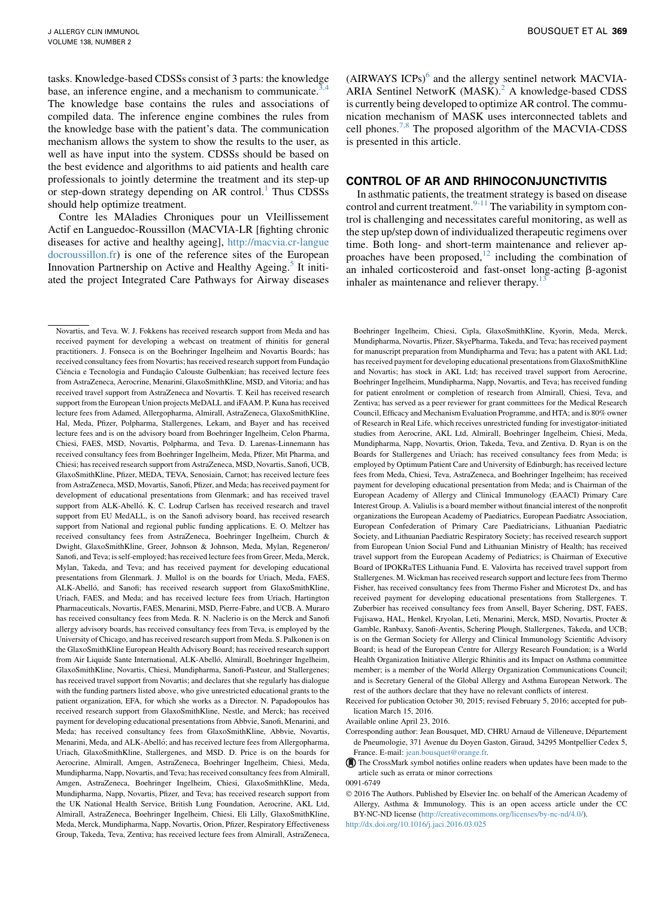BOUSQUET ET AL 369

tasks. Knowledge-based CDSSs consist of 3 parts: the knowledge base, an inference engine, and a mechanism to communicate.<sup>3</sup> The knowledge base contains the rules and associations of compiled data. The inference engine combines the rules from the knowledge base with the patient's data. The communication mechanism allows the system to show the results to the user, as well as have input into the system. CDSSs should be based on the best evidence and algorithms to aid patients and health care professionals to jointly determine the treatment and its step-up or step-down strategy depending on AR control.<sup>[1](#page-5-0)</sup> Thus CDSSs should help optimize treatment.

Contre les MAladies Chroniques pour un VIeillissement Actif en Languedoc-Roussillon (MACVIA-LR [fighting chronic diseases for active and healthy ageing], [http://macvia.cr-langue](http://macvia.cr-languedocroussillon.fr) [docroussillon.fr\)](http://macvia.cr-languedocroussillon.fr) is one of the reference sites of the European Innovation Partnership on Active and Healthy Ageing.<sup>[5](#page-5-0)</sup> It initiated the project Integrated Care Pathways for Airway diseases (AIRWAYS ICPs)<sup>[6](#page-5-0)</sup> and the allergy sentinel network MACVIA-ARIA Sentinel NetworK (MASK).<sup>2</sup> A knowledge-based CDSS is currently being developed to optimize AR control. The communication mechanism of MASK uses interconnected tablets and cell phones.<sup>[7,8](#page-5-0)</sup> The proposed algorithm of the MACVIA-CDSS is presented in this article.

### CONTROL OF AR AND RHINOCONJUNCTIVITIS

In asthmatic patients, the treatment strategy is based on disease control and current treatment.<sup>[9-11](#page-5-0)</sup> The variability in symptom control is challenging and necessitates careful monitoring, as well as the step up/step down of individualized therapeutic regimens over time. Both long- and short-term maintenance and reliever ap-proaches have been proposed,<sup>[12](#page-5-0)</sup> including the combination of an inhaled corticosteroid and fast-onset long-acting  $\beta$ -agonist inhaler as maintenance and reliever therapy.<sup>1</sup>

Boehringer Ingelheim, Chiesi, Cipla, GlaxoSmithKline, Kyorin, Meda, Merck, Mundipharma, Novartis, Pfizer, SkyePharma, Takeda, and Teva; has received payment for manuscript preparation from Mundipharma and Teva; has a patent with AKL Ltd; has received payment for developing educational presentations from GlaxoSmithKline and Novartis; has stock in AKL Ltd; has received travel support from Aerocrine, Boehringer Ingelheim, Mundipharma, Napp, Novartis, and Teva; has received funding for patient enrolment or completion of research from Almirall, Chiesi, Teva, and Zentiva; has served as a peer reviewer for grant committees for the Medical Research Council, Efficacy and Mechanism Evaluation Programme, and HTA; and is 80% owner of Research in Real Life, which receives unrestricted funding for investigator-initiated studies from Aerocrine, AKL Ltd, Almirall, Boehringer Ingelheim, Chiesi, Meda, Mundipharma, Napp, Novartis, Orion, Takeda, Teva, and Zentiva. D. Ryan is on the Boards for Stallergenes and Uriach; has received consultancy fees from Meda; is employed by Optimum Patient Care and University of Edinburgh; has received lecture fees from Meda, Chiesi, Teva, AstraZeneca, and Boehringer Ingelheim; has received payment for developing educational presentation from Meda; and is Chairman of the European Academy of Allergy and Clinical Immunology (EAACI) Primary Care Interest Group. A. Valiulis is a board member without financial interest of the nonprofit organizations the European Academy of Paediatrics, European Paediatrc Association, European Confederation of Primary Care Paediatricians, Lithuanian Paediatric Society, and Lithuanian Paediatric Respiratory Society; has received research support from European Union Social Fund and Lithuanian Ministry of Health; has received travel support from the European Academy of Pediatrics; is Chairman of Executive Board of IPOKRaTES Lithuania Fund. E. Valovirta has received travel support from Stallergenes. M. Wickman has received research support and lecture fees from Thermo Fisher, has received consultancy fees from Thermo Fisher and Microtest Dx, and has received payment for developing educational presentations from Stallergenes. T. Zuberbier has received consultancy fees from Ansell, Bayer Schering, DST, FAES, Fujisawa, HAL, Henkel, Kryolan, Leti, Menarini, Merck, MSD, Novartis, Procter & Gamble, Ranbaxy, Sanofi-Aventis, Schering Plough, Stallergenes, Takeda, and UCB; is on the German Society for Allergy and Clinical Immunology Scientific Advisory Board; is head of the European Centre for Allergy Research Foundation; is a World Health Organization Initiative Allergic Rhinitis and its Impact on Asthma committee member; is a member of the World Allergy Organization Communications Council; and is Secretary General of the Global Allergy and Asthma European Network. The rest of the authors declare that they have no relevant conflicts of interest.

Received for publication October 30, 2015; revised February 5, 2016; accepted for publication March 15, 2016.

Available online April 23, 2016.

Corresponding author: Jean Bousquet, MD, CHRU Arnaud de Villeneuve, Département de Pneumologie, 371 Avenue du Doyen Gaston, Giraud, 34295 Montpellier Cedex 5, France. E-mail: [jean.bousquet@orange.fr.](mailto:jean.bousquet@orange.fr)

The CrossMark symbol notifies online readers when updates have been made to the article such as errata or minor corrections

0091-6749

 2016 The Authors. Published by Elsevier Inc. on behalf of the American Academy of Allergy, Asthma & Immunology. This is an open access article under the CC BY-NC-ND license [\(http://creativecommons.org/licenses/by-nc-nd/4.0/](http://creativecommons.org/licenses/by-nc-nd/4.0/)).

<http://dx.doi.org/10.1016/j.jaci.2016.03.025>

Novartis, and Teva. W. J. Fokkens has received research support from Meda and has received payment for developing a webcast on treatment of rhinitis for general practitioners. J. Fonseca is on the Boehringer Ingelheim and Novartis Boards; has received consultancy fees from Novartis; has received research support from Fundação Ciência e Tecnologia and Fundacão Calouste Gulbenkian; has received lecture fees from AstraZeneca, Aerocrine, Menarini, GlaxoSmithKline, MSD, and Vitoria; and has received travel support from AstraZeneca and Novartis. T. Keil has received research support from the European Union projects MeDALL and iFAAM. P. Kuna has received lecture fees from Adamed, Allergopharma, Almirall, AstraZeneca, GlaxoSmithKline, Hal, Meda, Pfizer, Polpharma, Stallergenes, Lekam, and Bayer and has received lecture fees and is on the advisory board from Boehringer Ingelheim, Celon Pharma, Chiesi, FAES, MSD, Novartis, Polpharma, and Teva. D. Larenas-Linnemann has received consultancy fees from Boehringer Ingelheim, Meda, Pfizer, Mit Pharma, and Chiesi; has received research support from AstraZeneca, MSD, Novartis, Sanofi, UCB, GlaxoSmithKline, Pfizer, MEDA, TEVA, Senosiain, Carnot; has received lecture fees from AstraZeneca, MSD, Movartis, Sanofi, Pfizer, and Meda; has received payment for development of educational presentations from Glenmark; and has received travel support from ALK-Abelló. K. C. Lodrup Carlsen has received research and travel support from EU MedALL, is on the Sanofi advisory board, has received research support from National and regional public funding applications. E. O. Meltzer has received consultancy fees from AstraZeneca, Boehringer Ingelheim, Church & Dwight, GlaxoSmithKline, Greer, Johnson & Johnson, Meda, Mylan, Regeneron/ Sanofi, and Teva; is self-employed; has received lecture fees from Greer, Meda, Merck, Mylan, Takeda, and Teva; and has received payment for developing educational presentations from Glenmark. J. Mullol is on the boards for Uriach, Meda, FAES, ALK-Abelló, and Sanofi; has received research support from GlaxoSmithKline, Uriach, FAES, and Meda; and has received lecture fees from Uriach, Hartington Pharmaceuticals, Novartis, FAES, Menarini, MSD, Pierre-Fabre, and UCB. A. Muraro has received consultancy fees from Meda. R. N. Naclerio is on the Merck and Sanofi allergy advisory boards, has received consultancy fees from Teva, is employed by the University of Chicago, and has received research support from Meda. S. Palkonen is on the GlaxoSmithKline European Health Advisory Board; has received research support from Air Liquide Sante International, ALK-Abelló, Almirall, Boehringer Ingelheim, GlaxoSmithKline, Novartis, Chiesi, Mundipharma, Sanofi-Pasteur, and Stallergenes; has received travel support from Novartis; and declares that she regularly has dialogue with the funding partners listed above, who give unrestricted educational grants to the patient organization, EFA, for which she works as a Director. N. Papadopoulos has received research support from GlaxoSmithKline, Nestle, and Merck; has received payment for developing educational presentations from Abbvie, Sanofi, Menarini, and Meda; has received consultancy fees from GlaxoSmithKline, Abbvie, Novartis, Menarini, Meda, and ALK-Abelló; and has received lecture fees from Allergopharma, Uriach, GlaxoSmithKline, Stallergenes, and MSD. D. Price is on the boards for Aerocrine, Almirall, Amgen, AstraZeneca, Boehringer Ingelheim, Chiesi, Meda, Mundipharma, Napp, Novartis, and Teva; has received consultancy fees from Almirall, Amgen, AstraZeneca, Boehringer Ingelheim, Chiesi, GlaxoSmithKline, Meda, Mundipharma, Napp, Novartis, Pfizer, and Teva; has received research support from the UK National Health Service, British Lung Foundation, Aerocrine, AKL Ltd, Almirall, AstraZeneca, Boehringer Ingelheim, Chiesi, Eli Lilly, GlaxoSmithKline, Meda, Merck, Mundipharma, Napp, Novartis, Orion, Pfizer, Respiratory Effectiveness Group, Takeda, Teva, Zentiva; has received lecture fees from Almirall, AstraZeneca,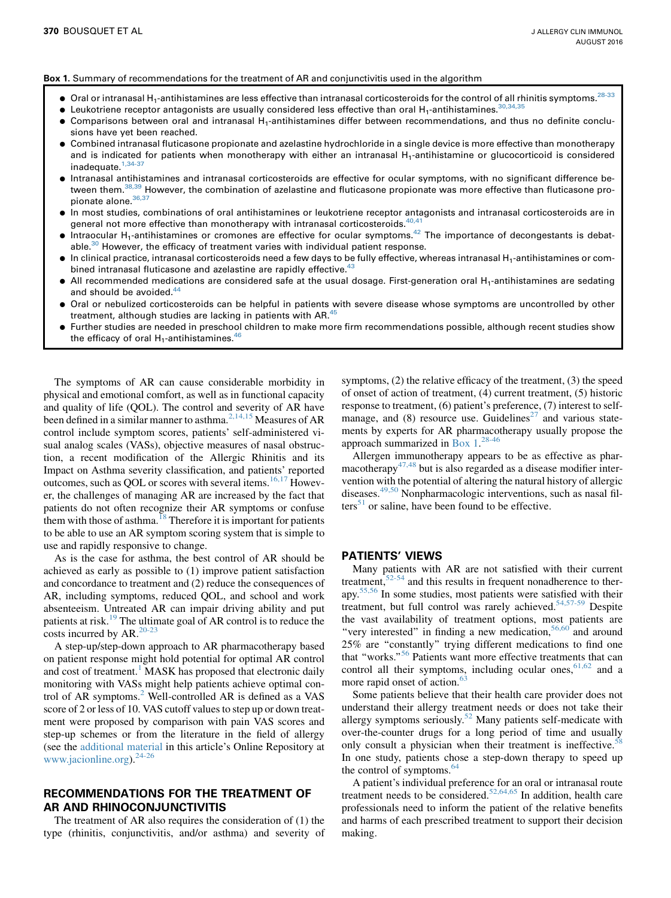#### Box 1. Summary of recommendations for the treatment of AR and conjunctivitis used in the algorithm

- $\bullet$  Oral or intranasal H<sub>1</sub>-antihistamines are less effective than intranasal corticosteroids for the control of all rhinitis symptoms.<sup>[28-33](#page-6-0)</sup>
- $\bullet$  Leukotriene receptor antagonists are usually considered less effective than oral H<sub>1</sub>-antihistamines.<sup>[30,34,35](#page-6-0)</sup>
- **Comparisons between oral and intranasal H<sub>1</sub>-antihistamines differ between recommendations, and thus no definite conclu**sions have yet been reached.
- Combined intranasal fluticasone propionate and azelastine hydrochloride in a single device is more effective than monotherapy and is indicated for patients when monotherapy with either an intranasal  $H_1$ -antihistamine or glucocorticoid is considered inadequate.<sup>[1,34-37](#page-5-0)</sup>
- d Intranasal antihistamines and intranasal corticosteroids are effective for ocular symptoms, with no significant difference between them.[38,39](#page-6-0) However, the combination of azelastine and fluticasone propionate was more effective than fluticasone pro-pionate alone. [36,37](#page-6-0)
- d In most studies, combinations of oral antihistamines or leukotriene receptor antagonists and intranasal corticosteroids are in general not more effective than monotherapy with intranasal corticosteroids.<sup>40,4</sup>
- $\bullet$  Intraocular H<sub>1</sub>-antihistamines or cromones are effective for ocular symptoms.<sup>42</sup> The importance of decongestants is debatable. $30$  However, the efficacy of treatment varies with individual patient response.
- In clinical practice, intranasal corticosteroids need a few days to be fully effective, whereas intranasal H<sub>1</sub>-antihistamines or combined intranasal fluticasone and azelastine are rapidly effective.<sup>4</sup>
- $\bullet$  All recommended medications are considered safe at the usual dosage. First-generation oral H<sub>1</sub>-antihistamines are sedating and should be avoided.<sup>44</sup>
- Oral or nebulized corticosteroids can be helpful in patients with severe disease whose symptoms are uncontrolled by other treatment, although studies are lacking in patients with AR.<sup>45</sup>
- d Further studies are needed in preschool children to make more firm recommendations possible, although recent studies show the efficacy of oral  $H_1$ -antihistamines.<sup>46</sup>

The symptoms of AR can cause considerable morbidity in physical and emotional comfort, as well as in functional capacity and quality of life (QOL). The control and severity of AR have been defined in a similar manner to asthma.<sup>2,14,15</sup> Measures of AR control include symptom scores, patients' self-administered visual analog scales (VASs), objective measures of nasal obstruction, a recent modification of the Allergic Rhinitis and its Impact on Asthma severity classification, and patients' reported outcomes, such as QOL or scores with several items.<sup>[16,17](#page-5-0)</sup> However, the challenges of managing AR are increased by the fact that patients do not often recognize their AR symptoms or confuse them with those of asthma.<sup>[18](#page-6-0)</sup> Therefore it is important for patients to be able to use an AR symptom scoring system that is simple to use and rapidly responsive to change.

As is the case for asthma, the best control of AR should be achieved as early as possible to (1) improve patient satisfaction and concordance to treatment and (2) reduce the consequences of AR, including symptoms, reduced QOL, and school and work absenteeism. Untreated AR can impair driving ability and put patients at risk.<sup>[19](#page-6-0)</sup> The ultimate goal of AR control is to reduce the costs incurred by AR.<sup>[20-23](#page-6-0)</sup>

A step-up/step-down approach to AR pharmacotherapy based on patient response might hold potential for optimal AR control and cost of treatment.<sup>[1](#page-5-0)</sup> MASK has proposed that electronic daily monitoring with VASs might help patients achieve optimal control of AR symptoms.<sup>2</sup> Well-controlled AR is defined as a VAS score of 2 or less of 10. VAS cutoff values to step up or down treatment were proposed by comparison with pain VAS scores and step-up schemes or from the literature in the field of allergy (see the additional material in this article's Online Repository at [www.jacionline.org](http://www.jacionline.org).24-26))[.24-26](#page-6-0)

## RECOMMENDATIONS FOR THE TREATMENT OF AR AND RHINOCONJUNCTIVITIS

The treatment of AR also requires the consideration of (1) the type (rhinitis, conjunctivitis, and/or asthma) and severity of symptoms, (2) the relative efficacy of the treatment, (3) the speed of onset of action of treatment, (4) current treatment, (5) historic response to treatment, (6) patient's preference, (7) interest to selfmanage, and  $(8)$  resource use. Guidelines<sup>[27](#page-6-0)</sup> and various statements by experts for AR pharmacotherapy usually propose the approach summarized in Box 1. [28-46](#page-6-0)

Allergen immunotherapy appears to be as effective as phar-macotherapy<sup>[47,48](#page-6-0)</sup> but is also regarded as a disease modifier intervention with the potential of altering the natural history of allergic diseases.<sup>[49,50](#page-6-0)</sup> Nonpharmacologic interventions, such as nasal fil-ters<sup>[51](#page-6-0)</sup> or saline, have been found to be effective.

#### PATIENTS' VIEWS

Many patients with AR are not satisfied with their current treatment,  $52-54$  and this results in frequent nonadherence to therapy.[55,56](#page-6-0) In some studies, most patients were satisfied with their treatment, but full control was rarely achieved.<sup>[54,57-59](#page-6-0)</sup> Despite the vast availability of treatment options, most patients are "very interested" in finding a new medication,<sup>56,60</sup> and around 25% are ''constantly'' trying different medications to find one that "works."<sup>[56](#page-6-0)</sup> Patients want more effective treatments that can control all their symptoms, including ocular ones,  $61,62$  and a more rapid onset of action.<sup>[63](#page-6-0)</sup>

Some patients believe that their health care provider does not understand their allergy treatment needs or does not take their allergy symptoms seriously.<sup>[52](#page-6-0)</sup> Many patients self-medicate with over-the-counter drugs for a long period of time and usually only consult a physician when their treatment is ineffective.<sup>58</sup> In one study, patients chose a step-down therapy to speed up the control of symptoms.<sup>64</sup>

A patient's individual preference for an oral or intranasal route treatment needs to be considered.<sup>[52,64,65](#page-6-0)</sup> In addition, health care professionals need to inform the patient of the relative benefits and harms of each prescribed treatment to support their decision making.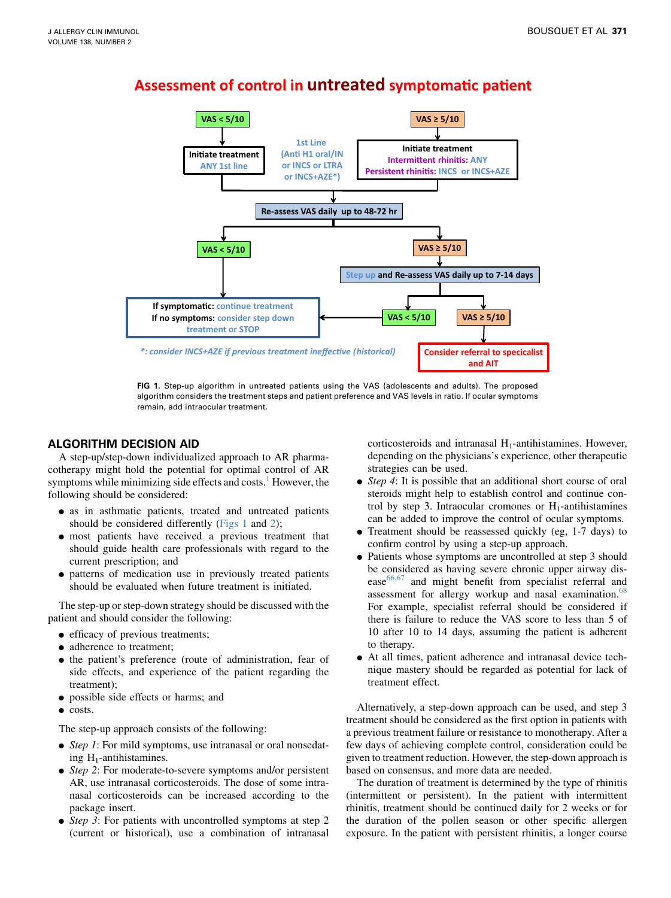

## **Assessment of control in untreated symptomatic patient**

FIG 1. Step-up algorithm in untreated patients using the VAS (adolescents and adults). The proposed algorithm considers the treatment steps and patient preference and VAS levels in ratio. If ocular symptoms remain, add intraocular treatment.

## ALGORITHM DECISION AID

A step-up/step-down individualized approach to AR pharmacotherapy might hold the potential for optimal control of AR symptoms while minimizing side effects and costs. $<sup>1</sup>$  $<sup>1</sup>$  $<sup>1</sup>$  However, the</sup> following should be considered:

- <sup>d</sup> as in asthmatic patients, treated and untreated patients should be considered differently (Figs 1 and [2](#page-5-0));
- <sup>d</sup> most patients have received a previous treatment that should guide health care professionals with regard to the current prescription; and
- <sup>d</sup> patterns of medication use in previously treated patients should be evaluated when future treatment is initiated.

The step-up or step-down strategy should be discussed with the patient and should consider the following:

- efficacy of previous treatments;
- adherence to treatment:
- the patient's preference (route of administration, fear of side effects, and experience of the patient regarding the treatment);
- possible side effects or harms; and
- $\bullet$  costs.

The step-up approach consists of the following:

- $\bullet$  *Step 1*: For mild symptoms, use intranasal or oral nonsedating  $H_1$ -antihistamines.
- Step 2: For moderate-to-severe symptoms and/or persistent AR, use intranasal corticosteroids. The dose of some intranasal corticosteroids can be increased according to the package insert.
- Step 3: For patients with uncontrolled symptoms at step 2 (current or historical), use a combination of intranasal

corticosteroids and intranasal  $H_1$ -antihistamines. However, depending on the physicians's experience, other therapeutic strategies can be used.

- $\bullet$  *Step 4*: It is possible that an additional short course of oral steroids might help to establish control and continue control by step 3. Intraocular cromones or  $H_1$ -antihistamines can be added to improve the control of ocular symptoms.
- Treatment should be reassessed quickly (eg, 1-7 days) to confirm control by using a step-up approach.
- Patients whose symptoms are uncontrolled at step 3 should be considered as having severe chronic upper airway disease $66,67$  and might benefit from specialist referral and assessment for allergy workup and nasal examination.<sup>[68](#page-7-0)</sup> For example, specialist referral should be considered if there is failure to reduce the VAS score to less than 5 of 10 after 10 to 14 days, assuming the patient is adherent to therapy.
- <sup>d</sup> At all times, patient adherence and intranasal device technique mastery should be regarded as potential for lack of treatment effect.

Alternatively, a step-down approach can be used, and step 3 treatment should be considered as the first option in patients with a previous treatment failure or resistance to monotherapy. After a few days of achieving complete control, consideration could be given to treatment reduction. However, the step-down approach is based on consensus, and more data are needed.

The duration of treatment is determined by the type of rhinitis (intermittent or persistent). In the patient with intermittent rhinitis, treatment should be continued daily for 2 weeks or for the duration of the pollen season or other specific allergen exposure. In the patient with persistent rhinitis, a longer course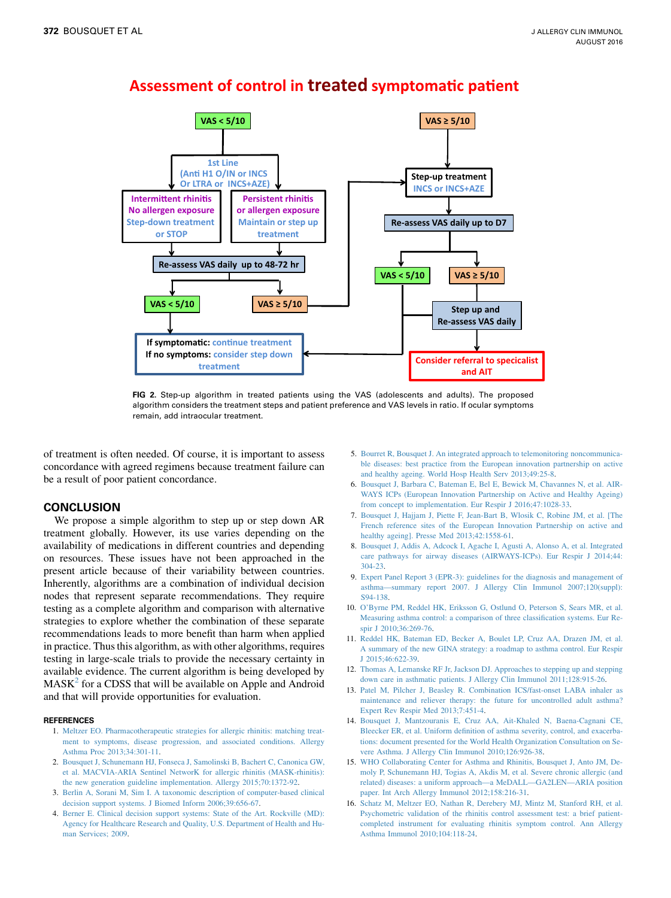

## <span id="page-5-0"></span>**Assessment of control in treated symptomatic patient**

FIG 2. Step-up algorithm in treated patients using the VAS (adolescents and adults). The proposed algorithm considers the treatment steps and patient preference and VAS levels in ratio. If ocular symptoms remain, add intraocular treatment.

of treatment is often needed. Of course, it is important to assess concordance with agreed regimens because treatment failure can be a result of poor patient concordance.

## **CONCLUSION**

We propose a simple algorithm to step up or step down AR treatment globally. However, its use varies depending on the availability of medications in different countries and depending on resources. These issues have not been approached in the present article because of their variability between countries. Inherently, algorithms are a combination of individual decision nodes that represent separate recommendations. They require testing as a complete algorithm and comparison with alternative strategies to explore whether the combination of these separate recommendations leads to more benefit than harm when applied in practice. Thus this algorithm, as with other algorithms, requires testing in large-scale trials to provide the necessary certainty in available evidence. The current algorithm is being developed by  $MASK<sup>2</sup>$  for a CDSS that will be available on Apple and Android and that will provide opportunities for evaluation.

#### **REFERENCES**

- 1. [Meltzer EO. Pharmacotherapeutic strategies for allergic rhinitis: matching treat](http://refhub.elsevier.com/S0091-6749(16)30148-8/sref1)[ment to symptoms, disease progression, and associated conditions. Allergy](http://refhub.elsevier.com/S0091-6749(16)30148-8/sref1) [Asthma Proc 2013;34:301-11.](http://refhub.elsevier.com/S0091-6749(16)30148-8/sref1)
- 2. [Bousquet J, Schunemann HJ, Fonseca J, Samolinski B, Bachert C, Canonica GW,](http://refhub.elsevier.com/S0091-6749(16)30148-8/sref2) [et al. MACVIA-ARIA Sentinel NetworK for allergic rhinitis \(MASK-rhinitis\):](http://refhub.elsevier.com/S0091-6749(16)30148-8/sref2) [the new generation guideline implementation. Allergy 2015;70:1372-92.](http://refhub.elsevier.com/S0091-6749(16)30148-8/sref2)
- 3. [Berlin A, Sorani M, Sim I. A taxonomic description of computer-based clinical](http://refhub.elsevier.com/S0091-6749(16)30148-8/sref3) [decision support systems. J Biomed Inform 2006;39:656-67.](http://refhub.elsevier.com/S0091-6749(16)30148-8/sref3)
- 4. [Berner E. Clinical decision support systems: State of the Art. Rockville \(MD\):](http://refhub.elsevier.com/S0091-6749(16)30148-8/sref4) [Agency for Healthcare Research and Quality, U.S. Department of Health and Hu](http://refhub.elsevier.com/S0091-6749(16)30148-8/sref4)[man Services; 2009](http://refhub.elsevier.com/S0091-6749(16)30148-8/sref4).
- 5. [Bourret R, Bousquet J. An integrated approach to telemonitoring noncommunica](http://refhub.elsevier.com/S0091-6749(16)30148-8/sref5)[ble diseases: best practice from the European innovation partnership on active](http://refhub.elsevier.com/S0091-6749(16)30148-8/sref5) [and healthy ageing. World Hosp Health Serv 2013;49:25-8](http://refhub.elsevier.com/S0091-6749(16)30148-8/sref5).
- 6. [Bousquet J, Barbara C, Bateman E, Bel E, Bewick M, Chavannes N, et al. AIR-](http://refhub.elsevier.com/S0091-6749(16)30148-8/sref6)[WAYS ICPs \(European Innovation Partnership on Active and Healthy Ageing\)](http://refhub.elsevier.com/S0091-6749(16)30148-8/sref6) [from concept to implementation. Eur Respir J 2016;47:1028-33.](http://refhub.elsevier.com/S0091-6749(16)30148-8/sref6)
- 7. [Bousquet J, Hajjam J, Piette F, Jean-Bart B, Wlosik C, Robine JM, et al. \[The](http://refhub.elsevier.com/S0091-6749(16)30148-8/sref7) [French reference sites of the European Innovation Partnership on active and](http://refhub.elsevier.com/S0091-6749(16)30148-8/sref7) [healthy ageing\]. Presse Med 2013;42:1558-61](http://refhub.elsevier.com/S0091-6749(16)30148-8/sref7).
- 8. [Bousquet J, Addis A, Adcock I, Agache I, Agusti A, Alonso A, et al. Integrated](http://refhub.elsevier.com/S0091-6749(16)30148-8/sref8) [care pathways for airway diseases \(AIRWAYS-ICPs\). Eur Respir J 2014;44:](http://refhub.elsevier.com/S0091-6749(16)30148-8/sref8) [304-23](http://refhub.elsevier.com/S0091-6749(16)30148-8/sref8).
- 9. [Expert Panel Report 3 \(EPR-3\): guidelines for the diagnosis and management of](http://refhub.elsevier.com/S0091-6749(16)30148-8/sref9) [asthma—summary report 2007. J Allergy Clin Immunol 2007;120\(suppl\):](http://refhub.elsevier.com/S0091-6749(16)30148-8/sref9) [S94-138](http://refhub.elsevier.com/S0091-6749(16)30148-8/sref9).
- 10. [O'Byrne PM, Reddel HK, Eriksson G, Ostlund O, Peterson S, Sears MR, et al.](http://refhub.elsevier.com/S0091-6749(16)30148-8/sref10) [Measuring asthma control: a comparison of three classification systems. Eur Re](http://refhub.elsevier.com/S0091-6749(16)30148-8/sref10)[spir J 2010;36:269-76.](http://refhub.elsevier.com/S0091-6749(16)30148-8/sref10)
- 11. [Reddel HK, Bateman ED, Becker A, Boulet LP, Cruz AA, Drazen JM, et al.](http://refhub.elsevier.com/S0091-6749(16)30148-8/sref11) [A summary of the new GINA strategy: a roadmap to asthma control. Eur Respir](http://refhub.elsevier.com/S0091-6749(16)30148-8/sref11) [J 2015;46:622-39.](http://refhub.elsevier.com/S0091-6749(16)30148-8/sref11)
- 12. [Thomas A, Lemanske RF Jr, Jackson DJ. Approaches to stepping up and stepping](http://refhub.elsevier.com/S0091-6749(16)30148-8/sref12) [down care in asthmatic patients. J Allergy Clin Immunol 2011;128:915-26.](http://refhub.elsevier.com/S0091-6749(16)30148-8/sref12)
- 13. [Patel M, Pilcher J, Beasley R. Combination ICS/fast-onset LABA inhaler as](http://refhub.elsevier.com/S0091-6749(16)30148-8/sref13) [maintenance and reliever therapy: the future for uncontrolled adult asthma?](http://refhub.elsevier.com/S0091-6749(16)30148-8/sref13) [Expert Rev Respir Med 2013;7:451-4](http://refhub.elsevier.com/S0091-6749(16)30148-8/sref13).
- 14. [Bousquet J, Mantzouranis E, Cruz AA, Ait-Khaled N, Baena-Cagnani CE,](http://refhub.elsevier.com/S0091-6749(16)30148-8/sref14) [Bleecker ER, et al. Uniform definition of asthma severity, control, and exacerba](http://refhub.elsevier.com/S0091-6749(16)30148-8/sref14)[tions: document presented for the World Health Organization Consultation on Se](http://refhub.elsevier.com/S0091-6749(16)30148-8/sref14)[vere Asthma. J Allergy Clin Immunol 2010;126:926-38](http://refhub.elsevier.com/S0091-6749(16)30148-8/sref14).
- 15. [WHO Collaborating Center for Asthma and Rhinitis, Bousquet J, Anto JM, De](http://refhub.elsevier.com/S0091-6749(16)30148-8/sref15)[moly P, Schunemann HJ, Togias A, Akdis M, et al. Severe chronic allergic \(and](http://refhub.elsevier.com/S0091-6749(16)30148-8/sref15) [related\) diseases: a uniform approach—a MeDALL—GA2LEN—ARIA position](http://refhub.elsevier.com/S0091-6749(16)30148-8/sref15) [paper. Int Arch Allergy Immunol 2012;158:216-31.](http://refhub.elsevier.com/S0091-6749(16)30148-8/sref15)
- 16. [Schatz M, Meltzer EO, Nathan R, Derebery MJ, Mintz M, Stanford RH, et al.](http://refhub.elsevier.com/S0091-6749(16)30148-8/sref16) [Psychometric validation of the rhinitis control assessment test: a brief patient](http://refhub.elsevier.com/S0091-6749(16)30148-8/sref16)[completed instrument for evaluating rhinitis symptom control. Ann Allergy](http://refhub.elsevier.com/S0091-6749(16)30148-8/sref16) [Asthma Immunol 2010;104:118-24](http://refhub.elsevier.com/S0091-6749(16)30148-8/sref16).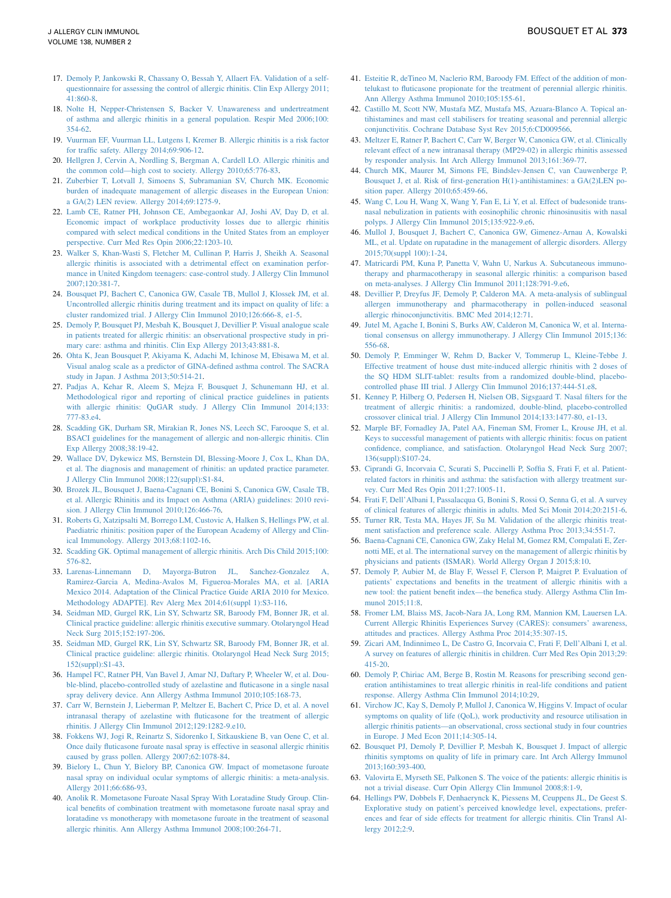- <span id="page-6-0"></span>17. [Demoly P, Jankowski R, Chassany O, Bessah Y, Allaert FA. Validation of a self](http://refhub.elsevier.com/S0091-6749(16)30148-8/sref17)[questionnaire for assessing the control of allergic rhinitis. Clin Exp Allergy 2011;](http://refhub.elsevier.com/S0091-6749(16)30148-8/sref17) [41:860-8](http://refhub.elsevier.com/S0091-6749(16)30148-8/sref17).
- 18. [Nolte H, Nepper-Christensen S, Backer V. Unawareness and undertreatment](http://refhub.elsevier.com/S0091-6749(16)30148-8/sref18) [of asthma and allergic rhinitis in a general population. Respir Med 2006;100:](http://refhub.elsevier.com/S0091-6749(16)30148-8/sref18) [354-62.](http://refhub.elsevier.com/S0091-6749(16)30148-8/sref18)
- 19. [Vuurman EF, Vuurman LL, Lutgens I, Kremer B. Allergic rhinitis is a risk factor](http://refhub.elsevier.com/S0091-6749(16)30148-8/sref19) [for traffic safety. Allergy 2014;69:906-12.](http://refhub.elsevier.com/S0091-6749(16)30148-8/sref19)
- 20. [Hellgren J, Cervin A, Nordling S, Bergman A, Cardell LO. Allergic rhinitis and](http://refhub.elsevier.com/S0091-6749(16)30148-8/sref20) [the common cold—high cost to society. Allergy 2010;65:776-83.](http://refhub.elsevier.com/S0091-6749(16)30148-8/sref20)
- 21. [Zuberbier T, Lotvall J, Simoens S, Subramanian SV, Church MK. Economic](http://refhub.elsevier.com/S0091-6749(16)30148-8/sref21) [burden of inadequate management of allergic diseases in the European Union:](http://refhub.elsevier.com/S0091-6749(16)30148-8/sref21) [a GA\(2\) LEN review. Allergy 2014;69:1275-9.](http://refhub.elsevier.com/S0091-6749(16)30148-8/sref21)
- 22. [Lamb CE, Ratner PH, Johnson CE, Ambegaonkar AJ, Joshi AV, Day D, et al.](http://refhub.elsevier.com/S0091-6749(16)30148-8/sref22) [Economic impact of workplace productivity losses due to allergic rhinitis](http://refhub.elsevier.com/S0091-6749(16)30148-8/sref22) [compared with select medical conditions in the United States from an employer](http://refhub.elsevier.com/S0091-6749(16)30148-8/sref22) [perspective. Curr Med Res Opin 2006;22:1203-10](http://refhub.elsevier.com/S0091-6749(16)30148-8/sref22).
- 23. [Walker S, Khan-Wasti S, Fletcher M, Cullinan P, Harris J, Sheikh A. Seasonal](http://refhub.elsevier.com/S0091-6749(16)30148-8/sref23) [allergic rhinitis is associated with a detrimental effect on examination perfor](http://refhub.elsevier.com/S0091-6749(16)30148-8/sref23)[mance in United Kingdom teenagers: case-control study. J Allergy Clin Immunol](http://refhub.elsevier.com/S0091-6749(16)30148-8/sref23) [2007;120:381-7.](http://refhub.elsevier.com/S0091-6749(16)30148-8/sref23)
- 24. [Bousquet PJ, Bachert C, Canonica GW, Casale TB, Mullol J, Klossek JM, et al.](http://refhub.elsevier.com/S0091-6749(16)30148-8/sref24) [Uncontrolled allergic rhinitis during treatment and its impact on quality of life: a](http://refhub.elsevier.com/S0091-6749(16)30148-8/sref24) [cluster randomized trial. J Allergy Clin Immunol 2010;126:666-8, e1-5.](http://refhub.elsevier.com/S0091-6749(16)30148-8/sref24)
- 25. [Demoly P, Bousquet PJ, Mesbah K, Bousquet J, Devillier P. Visual analogue scale](http://refhub.elsevier.com/S0091-6749(16)30148-8/sref25) [in patients treated for allergic rhinitis: an observational prospective study in pri](http://refhub.elsevier.com/S0091-6749(16)30148-8/sref25)[mary care: asthma and rhinitis. Clin Exp Allergy 2013;43:881-8.](http://refhub.elsevier.com/S0091-6749(16)30148-8/sref25)
- 26. [Ohta K, Jean Bousquet P, Akiyama K, Adachi M, Ichinose M, Ebisawa M, et al.](http://refhub.elsevier.com/S0091-6749(16)30148-8/sref26) [Visual analog scale as a predictor of GINA-defined asthma control. The SACRA](http://refhub.elsevier.com/S0091-6749(16)30148-8/sref26) [study in Japan. J Asthma 2013;50:514-21.](http://refhub.elsevier.com/S0091-6749(16)30148-8/sref26)
- 27. [Padjas A, Kehar R, Aleem S, Mejza F, Bousquet J, Schunemann HJ, et al.](http://refhub.elsevier.com/S0091-6749(16)30148-8/sref27) [Methodological rigor and reporting of clinical practice guidelines in patients](http://refhub.elsevier.com/S0091-6749(16)30148-8/sref27) [with allergic rhinitis: QuGAR study. J Allergy Clin Immunol 2014;133:](http://refhub.elsevier.com/S0091-6749(16)30148-8/sref27) [777-83.e4](http://refhub.elsevier.com/S0091-6749(16)30148-8/sref27).
- 28. [Scadding GK, Durham SR, Mirakian R, Jones NS, Leech SC, Farooque S, et al.](http://refhub.elsevier.com/S0091-6749(16)30148-8/sref28) [BSACI guidelines for the management of allergic and non-allergic rhinitis. Clin](http://refhub.elsevier.com/S0091-6749(16)30148-8/sref28) [Exp Allergy 2008;38:19-42](http://refhub.elsevier.com/S0091-6749(16)30148-8/sref28).
- 29. [Wallace DV, Dykewicz MS, Bernstein DI, Blessing-Moore J, Cox L, Khan DA,](http://refhub.elsevier.com/S0091-6749(16)30148-8/sref29) [et al. The diagnosis and management of rhinitis: an updated practice parameter.](http://refhub.elsevier.com/S0091-6749(16)30148-8/sref29) [J Allergy Clin Immunol 2008;122\(suppl\):S1-84](http://refhub.elsevier.com/S0091-6749(16)30148-8/sref29).
- 30. [Brozek JL, Bousquet J, Baena-Cagnani CE, Bonini S, Canonica GW, Casale TB,](http://refhub.elsevier.com/S0091-6749(16)30148-8/sref30) [et al. Allergic Rhinitis and its Impact on Asthma \(ARIA\) guidelines: 2010 revi](http://refhub.elsevier.com/S0091-6749(16)30148-8/sref30)[sion. J Allergy Clin Immunol 2010;126:466-76](http://refhub.elsevier.com/S0091-6749(16)30148-8/sref30).
- 31. [Roberts G, Xatzipsalti M, Borrego LM, Custovic A, Halken S, Hellings PW, et al.](http://refhub.elsevier.com/S0091-6749(16)30148-8/sref31) [Paediatric rhinitis: position paper of the European Academy of Allergy and Clin](http://refhub.elsevier.com/S0091-6749(16)30148-8/sref31)[ical Immunology. Allergy 2013;68:1102-16](http://refhub.elsevier.com/S0091-6749(16)30148-8/sref31).
- 32. [Scadding GK. Optimal management of allergic rhinitis. Arch Dis Child 2015;100:](http://refhub.elsevier.com/S0091-6749(16)30148-8/sref32) [576-82.](http://refhub.elsevier.com/S0091-6749(16)30148-8/sref32)
- 33. [Larenas-Linnemann D, Mayorga-Butron JL, Sanchez-Gonzalez A,](http://refhub.elsevier.com/S0091-6749(16)30148-8/sref33) [Ramirez-Garcia A, Medina-Avalos M, Figueroa-Morales MA, et al. \[ARIA](http://refhub.elsevier.com/S0091-6749(16)30148-8/sref33) [Mexico 2014. Adaptation of the Clinical Practice Guide ARIA 2010 for Mexico.](http://refhub.elsevier.com/S0091-6749(16)30148-8/sref33) [Methodology ADAPTE\]. Rev Alerg Mex 2014;61\(suppl 1\):S3-116.](http://refhub.elsevier.com/S0091-6749(16)30148-8/sref33)
- 34. [Seidman MD, Gurgel RK, Lin SY, Schwartz SR, Baroody FM, Bonner JR, et al.](http://refhub.elsevier.com/S0091-6749(16)30148-8/sref34) [Clinical practice guideline: allergic rhinitis executive summary. Otolaryngol Head](http://refhub.elsevier.com/S0091-6749(16)30148-8/sref34) [Neck Surg 2015;152:197-206](http://refhub.elsevier.com/S0091-6749(16)30148-8/sref34).
- 35. [Seidman MD, Gurgel RK, Lin SY, Schwartz SR, Baroody FM, Bonner JR, et al.](http://refhub.elsevier.com/S0091-6749(16)30148-8/sref35) [Clinical practice guideline: allergic rhinitis. Otolaryngol Head Neck Surg 2015;](http://refhub.elsevier.com/S0091-6749(16)30148-8/sref35) [152\(suppl\):S1-43.](http://refhub.elsevier.com/S0091-6749(16)30148-8/sref35)
- 36. [Hampel FC, Ratner PH, Van Bavel J, Amar NJ, Daftary P, Wheeler W, et al. Dou](http://refhub.elsevier.com/S0091-6749(16)30148-8/sref36)[ble-blind, placebo-controlled study of azelastine and fluticasone in a single nasal](http://refhub.elsevier.com/S0091-6749(16)30148-8/sref36) [spray delivery device. Ann Allergy Asthma Immunol 2010;105:168-73.](http://refhub.elsevier.com/S0091-6749(16)30148-8/sref36)
- 37. [Carr W, Bernstein J, Lieberman P, Meltzer E, Bachert C, Price D, et al. A novel](http://refhub.elsevier.com/S0091-6749(16)30148-8/sref37) [intranasal therapy of azelastine with fluticasone for the treatment of allergic](http://refhub.elsevier.com/S0091-6749(16)30148-8/sref37) [rhinitis. J Allergy Clin Immunol 2012;129:1282-9.e10.](http://refhub.elsevier.com/S0091-6749(16)30148-8/sref37)
- 38. [Fokkens WJ, Jogi R, Reinartz S, Sidorenko I, Sitkauskiene B, van Oene C, et al.](http://refhub.elsevier.com/S0091-6749(16)30148-8/sref38) [Once daily fluticasone furoate nasal spray is effective in seasonal allergic rhinitis](http://refhub.elsevier.com/S0091-6749(16)30148-8/sref38) [caused by grass pollen. Allergy 2007;62:1078-84.](http://refhub.elsevier.com/S0091-6749(16)30148-8/sref38)
- 39. [Bielory L, Chun Y, Bielory BP, Canonica GW. Impact of mometasone furoate](http://refhub.elsevier.com/S0091-6749(16)30148-8/sref39) [nasal spray on individual ocular symptoms of allergic rhinitis: a meta-analysis.](http://refhub.elsevier.com/S0091-6749(16)30148-8/sref39) [Allergy 2011;66:686-93](http://refhub.elsevier.com/S0091-6749(16)30148-8/sref39).
- 40. [Anolik R. Mometasone Furoate Nasal Spray With Loratadine Study Group. Clin](http://refhub.elsevier.com/S0091-6749(16)30148-8/sref40)[ical benefits of combination treatment with mometasone furoate nasal spray and](http://refhub.elsevier.com/S0091-6749(16)30148-8/sref40) [loratadine vs monotherapy with mometasone furoate in the treatment of seasonal](http://refhub.elsevier.com/S0091-6749(16)30148-8/sref40) [allergic rhinitis. Ann Allergy Asthma Immunol 2008;100:264-71](http://refhub.elsevier.com/S0091-6749(16)30148-8/sref40).
- 41. [Esteitie R, deTineo M, Naclerio RM, Baroody FM. Effect of the addition of mon](http://refhub.elsevier.com/S0091-6749(16)30148-8/sref41)[telukast to fluticasone propionate for the treatment of perennial allergic rhinitis.](http://refhub.elsevier.com/S0091-6749(16)30148-8/sref41) [Ann Allergy Asthma Immunol 2010;105:155-61](http://refhub.elsevier.com/S0091-6749(16)30148-8/sref41).
- 42. [Castillo M, Scott NW, Mustafa MZ, Mustafa MS, Azuara-Blanco A. Topical an](http://refhub.elsevier.com/S0091-6749(16)30148-8/sref42)[tihistamines and mast cell stabilisers for treating seasonal and perennial allergic](http://refhub.elsevier.com/S0091-6749(16)30148-8/sref42) [conjunctivitis. Cochrane Database Syst Rev 2015;6:CD009566](http://refhub.elsevier.com/S0091-6749(16)30148-8/sref42).
- 43. [Meltzer E, Ratner P, Bachert C, Carr W, Berger W, Canonica GW, et al. Clinically](http://refhub.elsevier.com/S0091-6749(16)30148-8/sref43) [relevant effect of a new intranasal therapy \(MP29-02\) in allergic rhinitis assessed](http://refhub.elsevier.com/S0091-6749(16)30148-8/sref43) [by responder analysis. Int Arch Allergy Immunol 2013;161:369-77.](http://refhub.elsevier.com/S0091-6749(16)30148-8/sref43)
- 44. [Church MK, Maurer M, Simons FE, Bindslev-Jensen C, van Cauwenberge P,](http://refhub.elsevier.com/S0091-6749(16)30148-8/sref44) [Bousquet J, et al. Risk of first-generation H\(1\)-antihistamines: a GA\(2\)LEN po](http://refhub.elsevier.com/S0091-6749(16)30148-8/sref44)[sition paper. Allergy 2010;65:459-66](http://refhub.elsevier.com/S0091-6749(16)30148-8/sref44).
- 45. [Wang C, Lou H, Wang X, Wang Y, Fan E, Li Y, et al. Effect of budesonide trans](http://refhub.elsevier.com/S0091-6749(16)30148-8/sref45)[nasal nebulization in patients with eosinophilic chronic rhinosinusitis with nasal](http://refhub.elsevier.com/S0091-6749(16)30148-8/sref45) [polyps. J Allergy Clin Immunol 2015;135:922-9.e6](http://refhub.elsevier.com/S0091-6749(16)30148-8/sref45).
- 46. [Mullol J, Bousquet J, Bachert C, Canonica GW, Gimenez-Arnau A, Kowalski](http://refhub.elsevier.com/S0091-6749(16)30148-8/sref46) [ML, et al. Update on rupatadine in the management of allergic disorders. Allergy](http://refhub.elsevier.com/S0091-6749(16)30148-8/sref46) [2015;70\(suppl 100\):1-24](http://refhub.elsevier.com/S0091-6749(16)30148-8/sref46).
- 47. [Matricardi PM, Kuna P, Panetta V, Wahn U, Narkus A. Subcutaneous immuno](http://refhub.elsevier.com/S0091-6749(16)30148-8/sref47)[therapy and pharmacotherapy in seasonal allergic rhinitis: a comparison based](http://refhub.elsevier.com/S0091-6749(16)30148-8/sref47) [on meta-analyses. J Allergy Clin Immunol 2011;128:791-9.e6.](http://refhub.elsevier.com/S0091-6749(16)30148-8/sref47)
- 48. [Devillier P, Dreyfus JF, Demoly P, Calderon MA. A meta-analysis of sublingual](http://refhub.elsevier.com/S0091-6749(16)30148-8/sref48) [allergen immunotherapy and pharmacotherapy in pollen-induced seasonal](http://refhub.elsevier.com/S0091-6749(16)30148-8/sref48) [allergic rhinoconjunctivitis. BMC Med 2014;12:71](http://refhub.elsevier.com/S0091-6749(16)30148-8/sref48).
- 49. [Jutel M, Agache I, Bonini S, Burks AW, Calderon M, Canonica W, et al. Interna](http://refhub.elsevier.com/S0091-6749(16)30148-8/sref49)[tional consensus on allergy immunotherapy. J Allergy Clin Immunol 2015;136:](http://refhub.elsevier.com/S0091-6749(16)30148-8/sref49) [556-68.](http://refhub.elsevier.com/S0091-6749(16)30148-8/sref49)
- 50. [Demoly P, Emminger W, Rehm D, Backer V, Tommerup L, Kleine-Tebbe J.](http://refhub.elsevier.com/S0091-6749(16)30148-8/sref50) [Effective treatment of house dust mite-induced allergic rhinitis with 2 doses of](http://refhub.elsevier.com/S0091-6749(16)30148-8/sref50) [the SQ HDM SLIT-tablet: results from a randomized double-blind, placebo](http://refhub.elsevier.com/S0091-6749(16)30148-8/sref50)[controlled phase III trial. J Allergy Clin Immunol 2016;137:444-51.e8.](http://refhub.elsevier.com/S0091-6749(16)30148-8/sref50)
- 51. [Kenney P, Hilberg O, Pedersen H, Nielsen OB, Sigsgaard T. Nasal filters for the](http://refhub.elsevier.com/S0091-6749(16)30148-8/sref51) [treatment of allergic rhinitis: a randomized, double-blind, placebo-controlled](http://refhub.elsevier.com/S0091-6749(16)30148-8/sref51) [crossover clinical trial. J Allergy Clin Immunol 2014;133:1477-80, e1-13.](http://refhub.elsevier.com/S0091-6749(16)30148-8/sref51)
- 52. [Marple BF, Fornadley JA, Patel AA, Fineman SM, Fromer L, Krouse JH, et al.](http://refhub.elsevier.com/S0091-6749(16)30148-8/sref52) [Keys to successful management of patients with allergic rhinitis: focus on patient](http://refhub.elsevier.com/S0091-6749(16)30148-8/sref52) [confidence, compliance, and satisfaction. Otolaryngol Head Neck Surg 2007;](http://refhub.elsevier.com/S0091-6749(16)30148-8/sref52) [136\(suppl\):S107-24.](http://refhub.elsevier.com/S0091-6749(16)30148-8/sref52)
- 53. [Ciprandi G, Incorvaia C, Scurati S, Puccinelli P, Soffia S, Frati F, et al. Patient](http://refhub.elsevier.com/S0091-6749(16)30148-8/sref53)[related factors in rhinitis and asthma: the satisfaction with allergy treatment sur](http://refhub.elsevier.com/S0091-6749(16)30148-8/sref53)[vey. Curr Med Res Opin 2011;27:1005-11](http://refhub.elsevier.com/S0091-6749(16)30148-8/sref53).
- 54. [Frati F, Dell'Albani I, Passalacqua G, Bonini S, Rossi O, Senna G, et al. A survey](http://refhub.elsevier.com/S0091-6749(16)30148-8/sref54) [of clinical features of allergic rhinitis in adults. Med Sci Monit 2014;20:2151-6](http://refhub.elsevier.com/S0091-6749(16)30148-8/sref54).
- 55. [Turner RR, Testa MA, Hayes JF, Su M. Validation of the allergic rhinitis treat](http://refhub.elsevier.com/S0091-6749(16)30148-8/sref55)[ment satisfaction and preference scale. Allergy Asthma Proc 2013;34:551-7](http://refhub.elsevier.com/S0091-6749(16)30148-8/sref55).
- 56. [Baena-Cagnani CE, Canonica GW, Zaky Helal M, Gomez RM, Compalati E, Zer](http://refhub.elsevier.com/S0091-6749(16)30148-8/sref56)[notti ME, et al. The international survey on the management of allergic rhinitis by](http://refhub.elsevier.com/S0091-6749(16)30148-8/sref56) [physicians and patients \(ISMAR\). World Allergy Organ J 2015;8:10.](http://refhub.elsevier.com/S0091-6749(16)30148-8/sref56)
- 57. [Demoly P, Aubier M, de Blay F, Wessel F, Clerson P, Maigret P. Evaluation of](http://refhub.elsevier.com/S0091-6749(16)30148-8/sref57) [patients' expectations and benefits in the treatment of allergic rhinitis with a](http://refhub.elsevier.com/S0091-6749(16)30148-8/sref57) [new tool: the patient benefit index—the benefica study. Allergy Asthma Clin Im](http://refhub.elsevier.com/S0091-6749(16)30148-8/sref57)[munol 2015;11:8.](http://refhub.elsevier.com/S0091-6749(16)30148-8/sref57)
- 58. [Fromer LM, Blaiss MS, Jacob-Nara JA, Long RM, Mannion KM, Lauersen LA.](http://refhub.elsevier.com/S0091-6749(16)30148-8/sref58) [Current Allergic Rhinitis Experiences Survey \(CARES\): consumers' awareness,](http://refhub.elsevier.com/S0091-6749(16)30148-8/sref58) [attitudes and practices. Allergy Asthma Proc 2014;35:307-15.](http://refhub.elsevier.com/S0091-6749(16)30148-8/sref58)
- 59. [Zicari AM, Indinnimeo L, De Castro G, Incorvaia C, Frati F, Dell'Albani I, et al.](http://refhub.elsevier.com/S0091-6749(16)30148-8/sref59) [A survey on features of allergic rhinitis in children. Curr Med Res Opin 2013;29:](http://refhub.elsevier.com/S0091-6749(16)30148-8/sref59) [415-20.](http://refhub.elsevier.com/S0091-6749(16)30148-8/sref59)
- 60. [Demoly P, Chiriac AM, Berge B, Rostin M. Reasons for prescribing second gen](http://refhub.elsevier.com/S0091-6749(16)30148-8/sref60)[eration antihistamines to treat allergic rhinitis in real-life conditions and patient](http://refhub.elsevier.com/S0091-6749(16)30148-8/sref60) [response. Allergy Asthma Clin Immunol 2014;10:29](http://refhub.elsevier.com/S0091-6749(16)30148-8/sref60).
- 61. [Virchow JC, Kay S, Demoly P, Mullol J, Canonica W, Higgins V. Impact of ocular](http://refhub.elsevier.com/S0091-6749(16)30148-8/sref61) [symptoms on quality of life \(QoL\), work productivity and resource utilisation in](http://refhub.elsevier.com/S0091-6749(16)30148-8/sref61) [allergic rhinitis patients—an observational, cross sectional study in four countries](http://refhub.elsevier.com/S0091-6749(16)30148-8/sref61) [in Europe. J Med Econ 2011;14:305-14.](http://refhub.elsevier.com/S0091-6749(16)30148-8/sref61)
- 62. [Bousquet PJ, Demoly P, Devillier P, Mesbah K, Bousquet J. Impact of allergic](http://refhub.elsevier.com/S0091-6749(16)30148-8/sref62) [rhinitis symptoms on quality of life in primary care. Int Arch Allergy Immunol](http://refhub.elsevier.com/S0091-6749(16)30148-8/sref62) [2013;160:393-400.](http://refhub.elsevier.com/S0091-6749(16)30148-8/sref62)
- 63. [Valovirta E, Myrseth SE, Palkonen S. The voice of the patients: allergic rhinitis is](http://refhub.elsevier.com/S0091-6749(16)30148-8/sref63) [not a trivial disease. Curr Opin Allergy Clin Immunol 2008;8:1-9](http://refhub.elsevier.com/S0091-6749(16)30148-8/sref63).
- 64. [Hellings PW, Dobbels F, Denhaerynck K, Piessens M, Ceuppens JL, De Geest S.](http://refhub.elsevier.com/S0091-6749(16)30148-8/sref64) [Explorative study on patient's perceived knowledge level, expectations, prefer](http://refhub.elsevier.com/S0091-6749(16)30148-8/sref64)[ences and fear of side effects for treatment for allergic rhinitis. Clin Transl Al](http://refhub.elsevier.com/S0091-6749(16)30148-8/sref64)[lergy 2012;2:9.](http://refhub.elsevier.com/S0091-6749(16)30148-8/sref64)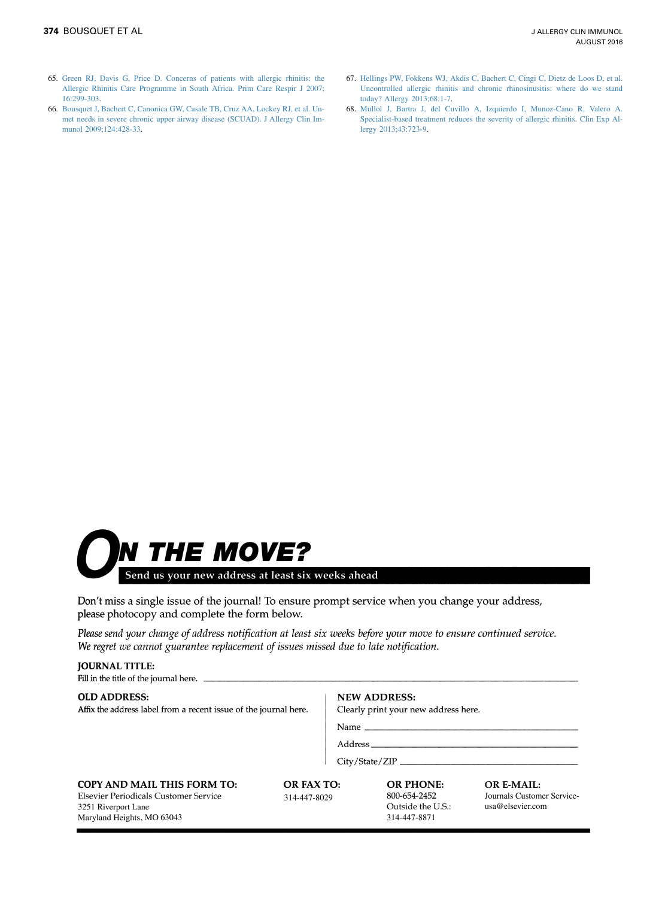- <span id="page-7-0"></span>65. [Green RJ, Davis G, Price D. Concerns of patients with allergic rhinitis: the](http://refhub.elsevier.com/S0091-6749(16)30148-8/sref65) [Allergic Rhinitis Care Programme in South Africa. Prim Care Respir J 2007;](http://refhub.elsevier.com/S0091-6749(16)30148-8/sref65) [16:299-303](http://refhub.elsevier.com/S0091-6749(16)30148-8/sref65).
- 66. [Bousquet J, Bachert C, Canonica GW, Casale TB, Cruz AA, Lockey RJ, et al. Un](http://refhub.elsevier.com/S0091-6749(16)30148-8/sref66)[met needs in severe chronic upper airway disease \(SCUAD\). J Allergy Clin Im](http://refhub.elsevier.com/S0091-6749(16)30148-8/sref66)[munol 2009;124:428-33.](http://refhub.elsevier.com/S0091-6749(16)30148-8/sref66)
- 67. [Hellings PW, Fokkens WJ, Akdis C, Bachert C, Cingi C, Dietz de Loos D, et al.](http://refhub.elsevier.com/S0091-6749(16)30148-8/sref67) [Uncontrolled allergic rhinitis and chronic rhinosinusitis: where do we stand](http://refhub.elsevier.com/S0091-6749(16)30148-8/sref67) [today? Allergy 2013;68:1-7](http://refhub.elsevier.com/S0091-6749(16)30148-8/sref67).
- 68. [Mullol J, Bartra J, del Cuvillo A, Izquierdo I, Munoz-Cano R, Valero A.](http://refhub.elsevier.com/S0091-6749(16)30148-8/sref68) [Specialist-based treatment reduces the severity of allergic rhinitis. Clin Exp Al](http://refhub.elsevier.com/S0091-6749(16)30148-8/sref68)[lergy 2013;43:723-9](http://refhub.elsevier.com/S0091-6749(16)30148-8/sref68).



**JOURNAL TITLE:** 

Don't miss a single issue of the journal! To ensure prompt service when you change your address, please photocopy and complete the form below.

Please send your change of address notification at least six weeks before your move to ensure continued service. We regret we cannot guarantee replacement of issues missed due to late notification.

| <b>OLD ADDRESS:</b><br>Affix the address label from a recent issue of the journal here.                                          | <b>NEW ADDRESS:</b><br>Clearly print your new address here. |  |                                                                       |                                                                     |
|----------------------------------------------------------------------------------------------------------------------------------|-------------------------------------------------------------|--|-----------------------------------------------------------------------|---------------------------------------------------------------------|
|                                                                                                                                  |                                                             |  |                                                                       |                                                                     |
|                                                                                                                                  |                                                             |  |                                                                       |                                                                     |
|                                                                                                                                  |                                                             |  |                                                                       |                                                                     |
| <b>COPY AND MAIL THIS FORM TO:</b><br>Elsevier Periodicals Customer Service<br>3251 Riverport Lane<br>Maryland Heights, MO 63043 | OR FAX TO:<br>314-447-8029                                  |  | <b>OR PHONE:</b><br>800-654-2452<br>Outside the U.S.:<br>314-447-8871 | <b>OR E-MAIL:</b><br>Journals Customer Service-<br>usa@elsevier.com |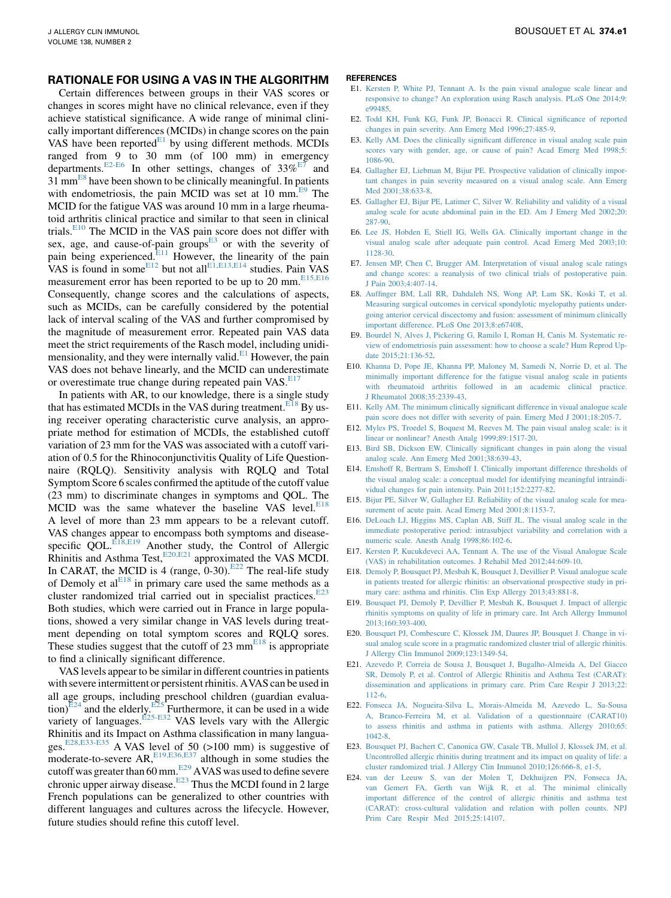#### RATIONALE FOR USING A VAS IN THE ALGORITHM

Certain differences between groups in their VAS scores or changes in scores might have no clinical relevance, even if they achieve statistical significance. A wide range of minimal clinically important differences (MCIDs) in change scores on the pain VAS have been reported $E_1$  by using different methods. MCDIs ranged from 9 to 30 mm (of 100 mm) in emergency departments.<sup>E2-E6</sup> In other settings, changes of  $33\%$ <sup>E7</sup> and  $31 \text{ mm}^{\text{E8}}$  have been shown to be clinically meaningful. In patients with endometriosis, the pain MCID was set at 10 mm.<sup>E9</sup> The MCID for the fatigue VAS was around 10 mm in a large rheumatoid arthritis clinical practice and similar to that seen in clinical trials.E10 The MCID in the VAS pain score does not differ with sex, age, and cause-of-pain groups $E<sup>3</sup>$  or with the severity of pain being experienced.<sup>E11</sup> However, the linearity of the pain VAS is found in some $E^{12}$  but not all  $E^{1, E13, E14}$  studies. Pain VAS measurement error has been reported to be up to 20 mm. $E_{15,E16}$ Consequently, change scores and the calculations of aspects, such as MCIDs, can be carefully considered by the potential lack of interval scaling of the VAS and further compromised by the magnitude of measurement error. Repeated pain VAS data meet the strict requirements of the Rasch model, including unidimensionality, and they were internally valid. $E<sup>1</sup>$  However, the pain VAS does not behave linearly, and the MCID can underestimate or overestimate true change during repeated pain VAS.<sup>E17</sup>

In patients with AR, to our knowledge, there is a single study that has estimated MCDIs in the VAS during treatment.<sup>E18</sup> By using receiver operating characteristic curve analysis, an appropriate method for estimation of MCDIs, the established cutoff variation of 23 mm for the VAS was associated with a cutoff variation of 0.5 for the Rhinoconjunctivitis Quality of Life Questionnaire (RQLQ). Sensitivity analysis with RQLQ and Total Symptom Score 6 scales confirmed the aptitude of the cutoff value (23 mm) to discriminate changes in symptoms and QOL. The MCID was the same whatever the baseline VAS level. $E^{18}$ A level of more than 23 mm appears to be a relevant cutoff. VAS changes appear to encompass both symptoms and diseasespecific QOL. $E^{18,E19}$  Another study, the Control of Allergic Rhinitis and Asthma Test, $E^{20,E21}$  approximated the VAS MCDI. In CARAT, the MCID is 4 (range,  $0-30$ ).<sup>E22</sup> The real-life study of Demoly et al $E^{18}$  in primary care used the same methods as a cluster randomized trial carried out in specialist practices. $E^{23}$ Both studies, which were carried out in France in large populations, showed a very similar change in VAS levels during treatment depending on total symptom scores and RQLQ sores. These studies suggest that the cutoff of 23  $mm<sup>E18</sup>$  is appropriate to find a clinically significant difference.

VAS levels appear to be similar in different countries in patients with severe intermittent or persistent rhinitis. AVAS can be used in all age groups, including preschool children (guardian evaluation) $E^{24}$  and the elderly.  $E^{25}$  Furthermore, it can be used in a wide variety of languages.<sup>[E25-E32](#page-9-0)</sup> VAS levels vary with the Allergic Rhinitis and its Impact on Asthma classification in many languages.[E28,E33-E35](#page-9-0) A VAS level of 50 (>100 mm) is suggestive of moderate-to-severe  $AR$ ,  $E^{19, E36, E37}$  although in some studies the cutoff was greater than 60 mm.<sup>[E29](#page-9-0)</sup> AVAS was used to define severe chronic upper airway disease.<sup>E23</sup> Thus the MCDI found in 2 large French populations can be generalized to other countries with different languages and cultures across the lifecycle. However, future studies should refine this cutoff level.

#### **REFERENCES**

- E1. [Kersten P, White PJ, Tennant A. Is the pain visual analogue scale linear and](http://refhub.elsevier.com/S0091-6749(16)30148-8/sref69) [responsive to change? An exploration using Rasch analysis. PLoS One 2014;9:](http://refhub.elsevier.com/S0091-6749(16)30148-8/sref69) [e99485](http://refhub.elsevier.com/S0091-6749(16)30148-8/sref69).
- E2. [Todd KH, Funk KG, Funk JP, Bonacci R. Clinical significance of reported](http://refhub.elsevier.com/S0091-6749(16)30148-8/sref70) [changes in pain severity. Ann Emerg Med 1996;27:485-9.](http://refhub.elsevier.com/S0091-6749(16)30148-8/sref70)
- E3. [Kelly AM. Does the clinically significant difference in visual analog scale pain](http://refhub.elsevier.com/S0091-6749(16)30148-8/sref71) [scores vary with gender, age, or cause of pain? Acad Emerg Med 1998;5:](http://refhub.elsevier.com/S0091-6749(16)30148-8/sref71) [1086-90](http://refhub.elsevier.com/S0091-6749(16)30148-8/sref71).
- E4. [Gallagher EJ, Liebman M, Bijur PE. Prospective validation of clinically impor](http://refhub.elsevier.com/S0091-6749(16)30148-8/sref72)[tant changes in pain severity measured on a visual analog scale. Ann Emerg](http://refhub.elsevier.com/S0091-6749(16)30148-8/sref72) [Med 2001;38:633-8](http://refhub.elsevier.com/S0091-6749(16)30148-8/sref72).
- E5. [Gallagher EJ, Bijur PE, Latimer C, Silver W. Reliability and validity of a visual](http://refhub.elsevier.com/S0091-6749(16)30148-8/sref73) [analog scale for acute abdominal pain in the ED. Am J Emerg Med 2002;20:](http://refhub.elsevier.com/S0091-6749(16)30148-8/sref73) [287-90.](http://refhub.elsevier.com/S0091-6749(16)30148-8/sref73)
- E6. [Lee JS, Hobden E, Stiell IG, Wells GA. Clinically important change in the](http://refhub.elsevier.com/S0091-6749(16)30148-8/sref74) [visual analog scale after adequate pain control. Acad Emerg Med 2003;10:](http://refhub.elsevier.com/S0091-6749(16)30148-8/sref74) [1128-30](http://refhub.elsevier.com/S0091-6749(16)30148-8/sref74).
- E7. [Jensen MP, Chen C, Brugger AM. Interpretation of visual analog scale ratings](http://refhub.elsevier.com/S0091-6749(16)30148-8/sref75) [and change scores: a reanalysis of two clinical trials of postoperative pain.](http://refhub.elsevier.com/S0091-6749(16)30148-8/sref75) [J Pain 2003;4:407-14.](http://refhub.elsevier.com/S0091-6749(16)30148-8/sref75)
- E8. [Auffinger BM, Lall RR, Dahdaleh NS, Wong AP, Lam SK, Koski T, et al.](http://refhub.elsevier.com/S0091-6749(16)30148-8/sref76) [Measuring surgical outcomes in cervical spondylotic myelopathy patients under](http://refhub.elsevier.com/S0091-6749(16)30148-8/sref76)[going anterior cervical discectomy and fusion: assessment of minimum clinically](http://refhub.elsevier.com/S0091-6749(16)30148-8/sref76) [important difference. PLoS One 2013;8:e67408.](http://refhub.elsevier.com/S0091-6749(16)30148-8/sref76)
- E9. [Bourdel N, Alves J, Pickering G, Ramilo I, Roman H, Canis M. Systematic re](http://refhub.elsevier.com/S0091-6749(16)30148-8/sref77)[view of endometriosis pain assessment: how to choose a scale? Hum Reprod Up](http://refhub.elsevier.com/S0091-6749(16)30148-8/sref77)[date 2015;21:136-52.](http://refhub.elsevier.com/S0091-6749(16)30148-8/sref77)
- E10. [Khanna D, Pope JE, Khanna PP, Maloney M, Samedi N, Norrie D, et al. The](http://refhub.elsevier.com/S0091-6749(16)30148-8/sref78) [minimally important difference for the fatigue visual analog scale in patients](http://refhub.elsevier.com/S0091-6749(16)30148-8/sref78) [with rheumatoid arthritis followed in an academic clinical practice.](http://refhub.elsevier.com/S0091-6749(16)30148-8/sref78) [J Rheumatol 2008;35:2339-43](http://refhub.elsevier.com/S0091-6749(16)30148-8/sref78).
- E11. [Kelly AM. The minimum clinically significant difference in visual analogue scale](http://refhub.elsevier.com/S0091-6749(16)30148-8/sref79) [pain score does not differ with severity of pain. Emerg Med J 2001;18:205-7.](http://refhub.elsevier.com/S0091-6749(16)30148-8/sref79)
- E12. [Myles PS, Troedel S, Boquest M, Reeves M. The pain visual analog scale: is it](http://refhub.elsevier.com/S0091-6749(16)30148-8/sref80) [linear or nonlinear? Anesth Analg 1999;89:1517-20.](http://refhub.elsevier.com/S0091-6749(16)30148-8/sref80)
- E13. [Bird SB, Dickson EW. Clinically significant changes in pain along the visual](http://refhub.elsevier.com/S0091-6749(16)30148-8/sref81) [analog scale. Ann Emerg Med 2001;38:639-43.](http://refhub.elsevier.com/S0091-6749(16)30148-8/sref81)
- E14. [Emshoff R, Bertram S, Emshoff I. Clinically important difference thresholds of](http://refhub.elsevier.com/S0091-6749(16)30148-8/sref82) [the visual analog scale: a conceptual model for identifying meaningful intraindi](http://refhub.elsevier.com/S0091-6749(16)30148-8/sref82)[vidual changes for pain intensity. Pain 2011;152:2277-82](http://refhub.elsevier.com/S0091-6749(16)30148-8/sref82).
- E15. [Bijur PE, Silver W, Gallagher EJ. Reliability of the visual analog scale for mea](http://refhub.elsevier.com/S0091-6749(16)30148-8/sref83)[surement of acute pain. Acad Emerg Med 2001;8:1153-7.](http://refhub.elsevier.com/S0091-6749(16)30148-8/sref83)
- E16. [DeLoach LJ, Higgins MS, Caplan AB, Stiff JL. The visual analog scale in the](http://refhub.elsevier.com/S0091-6749(16)30148-8/sref84) [immediate postoperative period: intrasubject variability and correlation with a](http://refhub.elsevier.com/S0091-6749(16)30148-8/sref84) [numeric scale. Anesth Analg 1998;86:102-6.](http://refhub.elsevier.com/S0091-6749(16)30148-8/sref84)
- E17. [Kersten P, Kucukdeveci AA, Tennant A. The use of the Visual Analogue Scale](http://refhub.elsevier.com/S0091-6749(16)30148-8/sref85) [\(VAS\) in rehabilitation outcomes. J Rehabil Med 2012;44:609-10](http://refhub.elsevier.com/S0091-6749(16)30148-8/sref85).
- E18. [Demoly P, Bousquet PJ, Mesbah K, Bousquet J, Devillier P. Visual analogue scale](http://refhub.elsevier.com/S0091-6749(16)30148-8/sref86) [in patients treated for allergic rhinitis: an observational prospective study in pri](http://refhub.elsevier.com/S0091-6749(16)30148-8/sref86)[mary care: asthma and rhinitis. Clin Exp Allergy 2013;43:881-8.](http://refhub.elsevier.com/S0091-6749(16)30148-8/sref86)
- E19. [Bousquet PJ, Demoly P, Devillier P, Mesbah K, Bousquet J. Impact of allergic](http://refhub.elsevier.com/S0091-6749(16)30148-8/sref87) [rhinitis symptoms on quality of life in primary care. Int Arch Allergy Immunol](http://refhub.elsevier.com/S0091-6749(16)30148-8/sref87) [2013;160:393-400](http://refhub.elsevier.com/S0091-6749(16)30148-8/sref87).
- E20. [Bousquet PJ, Combescure C, Klossek JM, Daures JP, Bousquet J. Change in vi](http://refhub.elsevier.com/S0091-6749(16)30148-8/sref88)[sual analog scale score in a pragmatic randomized cluster trial of allergic rhinitis.](http://refhub.elsevier.com/S0091-6749(16)30148-8/sref88) [J Allergy Clin Immunol 2009;123:1349-54](http://refhub.elsevier.com/S0091-6749(16)30148-8/sref88).
- E21. [Azevedo P, Correia de Sousa J, Bousquet J, Bugalho-Almeida A, Del Giacco](http://refhub.elsevier.com/S0091-6749(16)30148-8/sref89) [SR, Demoly P, et al. Control of Allergic Rhinitis and Asthma Test \(CARAT\):](http://refhub.elsevier.com/S0091-6749(16)30148-8/sref89) [dissemination and applications in primary care. Prim Care Respir J 2013;22:](http://refhub.elsevier.com/S0091-6749(16)30148-8/sref89) [112-6](http://refhub.elsevier.com/S0091-6749(16)30148-8/sref89).
- E22. [Fonseca JA, Nogueira-Silva L, Morais-Almeida M, Azevedo L, Sa-Sousa](http://refhub.elsevier.com/S0091-6749(16)30148-8/sref90) [A, Branco-Ferreira M, et al. Validation of a questionnaire \(CARAT10\)](http://refhub.elsevier.com/S0091-6749(16)30148-8/sref90) [to assess rhinitis and asthma in patients with asthma. Allergy 2010;65:](http://refhub.elsevier.com/S0091-6749(16)30148-8/sref90) [1042-8.](http://refhub.elsevier.com/S0091-6749(16)30148-8/sref90)
- E23. [Bousquet PJ, Bachert C, Canonica GW, Casale TB, Mullol J, Klossek JM, et al.](http://refhub.elsevier.com/S0091-6749(16)30148-8/sref91) [Uncontrolled allergic rhinitis during treatment and its impact on quality of life: a](http://refhub.elsevier.com/S0091-6749(16)30148-8/sref91) [cluster randomized trial. J Allergy Clin Immunol 2010;126:666-8, e1-5](http://refhub.elsevier.com/S0091-6749(16)30148-8/sref91).
- E24. [van der Leeuw S, van der Molen T, Dekhuijzen PN, Fonseca JA,](http://refhub.elsevier.com/S0091-6749(16)30148-8/sref92) [van Gemert FA, Gerth van Wijk R, et al. The minimal clinically](http://refhub.elsevier.com/S0091-6749(16)30148-8/sref92) [important difference of the control of allergic rhinitis and asthma test](http://refhub.elsevier.com/S0091-6749(16)30148-8/sref92) [\(CARAT\): cross-cultural validation and relation with pollen counts. NPJ](http://refhub.elsevier.com/S0091-6749(16)30148-8/sref92) [Prim Care Respir Med 2015;25:14107](http://refhub.elsevier.com/S0091-6749(16)30148-8/sref92).